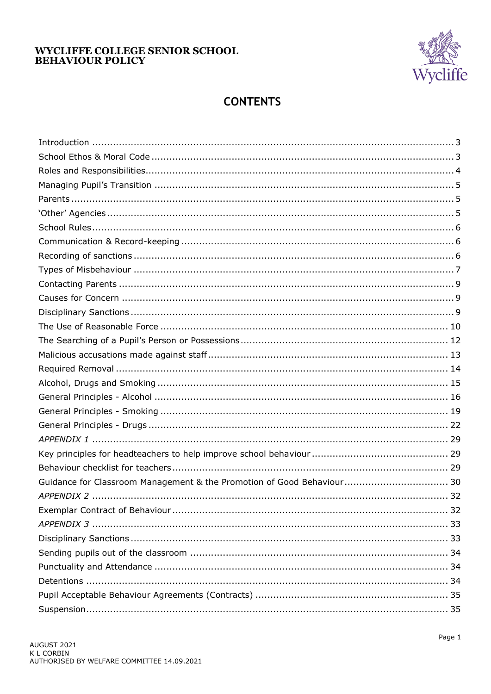

# **CONTENTS**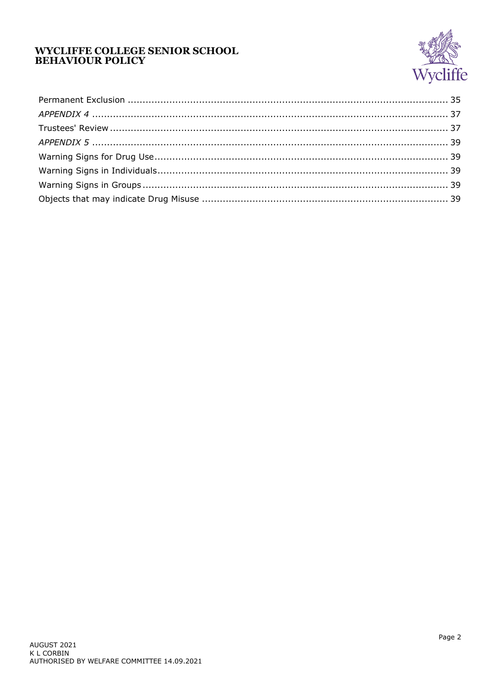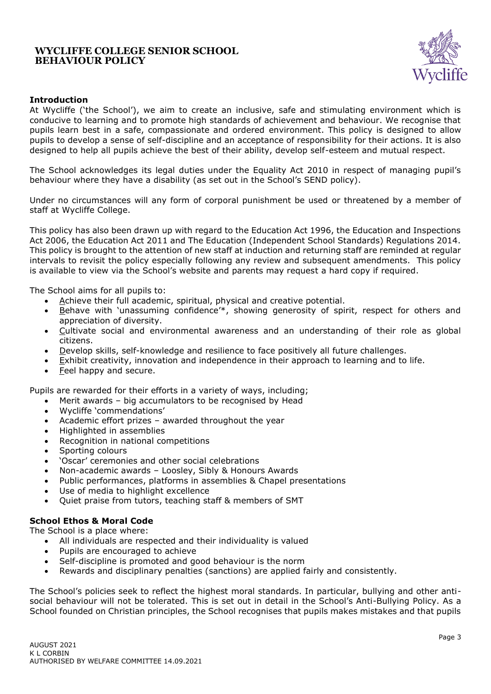

### <span id="page-2-0"></span>**Introduction**

At Wycliffe ('the School'), we aim to create an inclusive, safe and stimulating environment which is conducive to learning and to promote high standards of achievement and behaviour. We recognise that pupils learn best in a safe, compassionate and ordered environment. This policy is designed to allow pupils to develop a sense of self-discipline and an acceptance of responsibility for their actions. It is also designed to help all pupils achieve the best of their ability, develop self-esteem and mutual respect.

The School acknowledges its legal duties under the Equality Act 2010 in respect of managing pupil's behaviour where they have a disability (as set out in the School's SEND policy).

Under no circumstances will any form of corporal punishment be used or threatened by a member of staff at Wycliffe College.

This policy has also been drawn up with regard to the Education Act 1996, the Education and Inspections Act 2006, the Education Act 2011 and The Education (Independent School Standards) Regulations 2014. This policy is brought to the attention of new staff at induction and returning staff are reminded at regular intervals to revisit the policy especially following any review and subsequent amendments. This policy is available to view via the School's website and parents may request a hard copy if required.

The School aims for all pupils to:

- Achieve their full academic, spiritual, physical and creative potential.
- Behave with 'unassuming confidence'\*, showing generosity of spirit, respect for others and appreciation of diversity.
- Cultivate social and environmental awareness and an understanding of their role as global citizens.
- Develop skills, self-knowledge and resilience to face positively all future challenges.
- Exhibit creativity, innovation and independence in their approach to learning and to life.
- Feel happy and secure.

Pupils are rewarded for their efforts in a variety of ways, including;

- Merit awards big accumulators to be recognised by Head
- Wycliffe 'commendations'
- Academic effort prizes awarded throughout the year
- Highlighted in assemblies
- Recognition in national competitions
- Sporting colours
- 'Oscar' ceremonies and other social celebrations
- Non-academic awards Loosley, Sibly & Honours Awards
- Public performances, platforms in assemblies & Chapel presentations
- Use of media to highlight excellence
- Quiet praise from tutors, teaching staff & members of SMT

# <span id="page-2-1"></span>**School Ethos & Moral Code**

The School is a place where:

- All individuals are respected and their individuality is valued
- Pupils are encouraged to achieve
- Self-discipline is promoted and good behaviour is the norm
- Rewards and disciplinary penalties (sanctions) are applied fairly and consistently.

The School's policies seek to reflect the highest moral standards. In particular, bullying and other antisocial behaviour will not be tolerated. This is set out in detail in the School's Anti-Bullying Policy. As a School founded on Christian principles, the School recognises that pupils makes mistakes and that pupils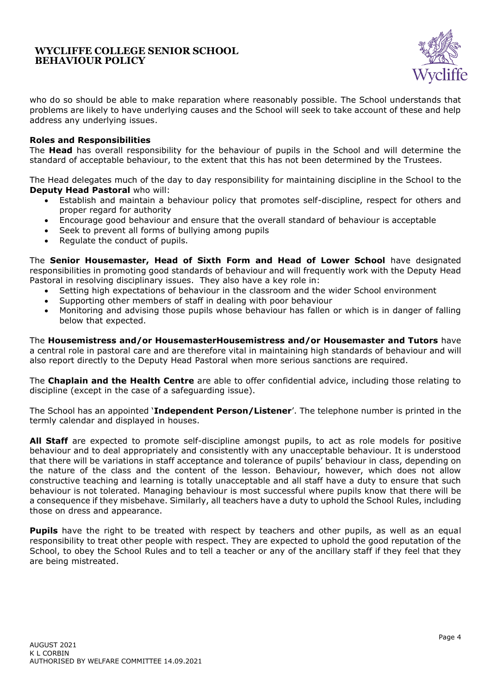

who do so should be able to make reparation where reasonably possible. The School understands that problems are likely to have underlying causes and the School will seek to take account of these and help address any underlying issues.

#### <span id="page-3-0"></span>**Roles and Responsibilities**

The **Head** has overall responsibility for the behaviour of pupils in the School and will determine the standard of acceptable behaviour, to the extent that this has not been determined by the Trustees.

The Head delegates much of the day to day responsibility for maintaining discipline in the School to the **Deputy Head Pastoral** who will:

- Establish and maintain a behaviour policy that promotes self-discipline, respect for others and proper regard for authority
- Encourage good behaviour and ensure that the overall standard of behaviour is acceptable
- Seek to prevent all forms of bullying among pupils
- Regulate the conduct of pupils.

The **Senior Housemaster, Head of Sixth Form and Head of Lower School** have designated responsibilities in promoting good standards of behaviour and will frequently work with the Deputy Head Pastoral in resolving disciplinary issues. They also have a key role in:

- Setting high expectations of behaviour in the classroom and the wider School environment
- Supporting other members of staff in dealing with poor behaviour
- Monitoring and advising those pupils whose behaviour has fallen or which is in danger of falling below that expected.

The **Housemistress and/or HousemasterHousemistress and/or Housemaster and Tutors** have a central role in pastoral care and are therefore vital in maintaining high standards of behaviour and will also report directly to the Deputy Head Pastoral when more serious sanctions are required.

The **Chaplain and the Health Centre** are able to offer confidential advice, including those relating to discipline (except in the case of a safeguarding issue).

The School has an appointed '**Independent Person/Listener**'. The telephone number is printed in the termly calendar and displayed in houses.

**All Staff** are expected to promote self-discipline amongst pupils, to act as role models for positive behaviour and to deal appropriately and consistently with any unacceptable behaviour. It is understood that there will be variations in staff acceptance and tolerance of pupils' behaviour in class, depending on the nature of the class and the content of the lesson. Behaviour, however, which does not allow constructive teaching and learning is totally unacceptable and all staff have a duty to ensure that such behaviour is not tolerated. Managing behaviour is most successful where pupils know that there will be a consequence if they misbehave. Similarly, all teachers have a duty to uphold the School Rules, including those on dress and appearance.

**Pupils** have the right to be treated with respect by teachers and other pupils, as well as an equal responsibility to treat other people with respect. They are expected to uphold the good reputation of the School, to obey the School Rules and to tell a teacher or any of the ancillary staff if they feel that they are being mistreated.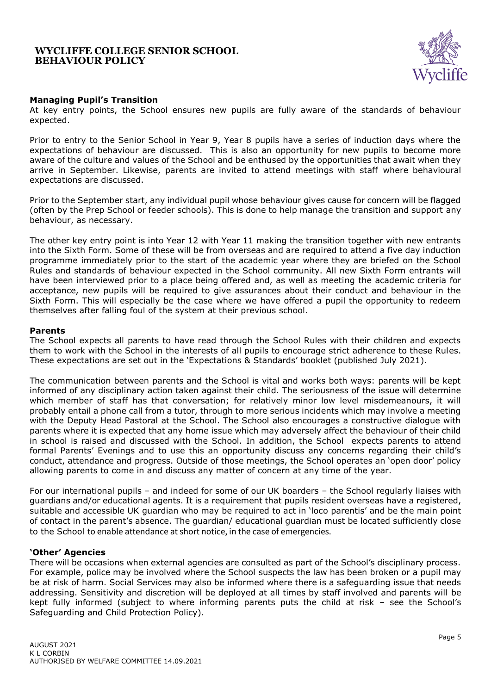

### <span id="page-4-0"></span>**Managing Pupil's Transition**

At key entry points, the School ensures new pupils are fully aware of the standards of behaviour expected.

Prior to entry to the Senior School in Year 9, Year 8 pupils have a series of induction days where the expectations of behaviour are discussed. This is also an opportunity for new pupils to become more aware of the culture and values of the School and be enthused by the opportunities that await when they arrive in September. Likewise, parents are invited to attend meetings with staff where behavioural expectations are discussed.

Prior to the September start, any individual pupil whose behaviour gives cause for concern will be flagged (often by the Prep School or feeder schools). This is done to help manage the transition and support any behaviour, as necessary.

The other key entry point is into Year 12 with Year 11 making the transition together with new entrants into the Sixth Form. Some of these will be from overseas and are required to attend a five day induction programme immediately prior to the start of the academic year where they are briefed on the School Rules and standards of behaviour expected in the School community. All new Sixth Form entrants will have been interviewed prior to a place being offered and, as well as meeting the academic criteria for acceptance, new pupils will be required to give assurances about their conduct and behaviour in the Sixth Form. This will especially be the case where we have offered a pupil the opportunity to redeem themselves after falling foul of the system at their previous school.

#### <span id="page-4-1"></span>**Parents**

The School expects all parents to have read through the School Rules with their children and expects them to work with the School in the interests of all pupils to encourage strict adherence to these Rules. These expectations are set out in the 'Expectations & Standards' booklet (published July 2021).

The communication between parents and the School is vital and works both ways: parents will be kept informed of any disciplinary action taken against their child. The seriousness of the issue will determine which member of staff has that conversation; for relatively minor low level misdemeanours, it will probably entail a phone call from a tutor, through to more serious incidents which may involve a meeting with the Deputy Head Pastoral at the School. The School also encourages a constructive dialogue with parents where it is expected that any home issue which may adversely affect the behaviour of their child in school is raised and discussed with the School*.* In addition, the School expects parents to attend formal Parents' Evenings and to use this an opportunity discuss any concerns regarding their child's conduct, attendance and progress. Outside of those meetings, the School operates an 'open door' policy allowing parents to come in and discuss any matter of concern at any time of the year.

For our international pupils – and indeed for some of our UK boarders – the School regularly liaises with guardians and/or educational agents. It is a requirement that pupils resident overseas have a registered, suitable and accessible UK guardian who may be required to act in 'loco parentis' and be the main point of contact in the parent's absence. The guardian/ educational guardian must be located sufficiently close to the School to enable attendance at short notice, in the case of emergencies.

#### <span id="page-4-2"></span>**'Other' Agencies**

There will be occasions when external agencies are consulted as part of the School's disciplinary process. For example, police may be involved where the School suspects the law has been broken or a pupil may be at risk of harm. Social Services may also be informed where there is a safeguarding issue that needs addressing. Sensitivity and discretion will be deployed at all times by staff involved and parents will be kept fully informed (subject to where informing parents puts the child at risk – see the School's Safeguarding and Child Protection Policy).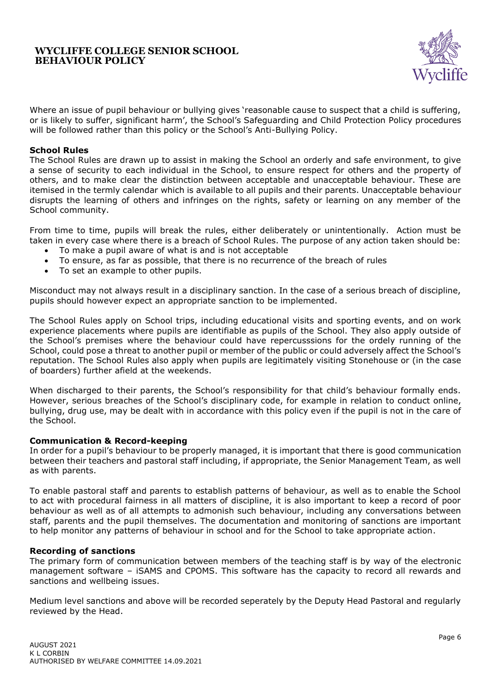

Where an issue of pupil behaviour or bullying gives 'reasonable cause to suspect that a child is suffering, or is likely to suffer, significant harm', the School's Safeguarding and Child Protection Policy procedures will be followed rather than this policy or the School's Anti-Bullying Policy.

#### <span id="page-5-0"></span>**School Rules**

The School Rules are drawn up to assist in making the School an orderly and safe environment, to give a sense of security to each individual in the School, to ensure respect for others and the property of others, and to make clear the distinction between acceptable and unacceptable behaviour. These are itemised in the termly calendar which is available to all pupils and their parents. Unacceptable behaviour disrupts the learning of others and infringes on the rights, safety or learning on any member of the School community.

From time to time, pupils will break the rules, either deliberately or unintentionally. Action must be taken in every case where there is a breach of School Rules. The purpose of any action taken should be:

- To make a pupil aware of what is and is not acceptable
- To ensure, as far as possible, that there is no recurrence of the breach of rules
- To set an example to other pupils.

Misconduct may not always result in a disciplinary sanction. In the case of a serious breach of discipline, pupils should however expect an appropriate sanction to be implemented.

The School Rules apply on School trips, including educational visits and sporting events, and on work experience placements where pupils are identifiable as pupils of the School. They also apply outside of the School's premises where the behaviour could have repercusssions for the ordely running of the School, could pose a threat to another pupil or member of the public or could adversely affect the School's reputation. The School Rules also apply when pupils are legitimately visiting Stonehouse or (in the case of boarders) further afield at the weekends.

When discharged to their parents, the School's responsibility for that child's behaviour formally ends. However, serious breaches of the School's disciplinary code, for example in relation to conduct online, bullying, drug use, may be dealt with in accordance with this policy even if the pupil is not in the care of the School.

#### <span id="page-5-1"></span>**Communication & Record-keeping**

In order for a pupil's behaviour to be properly managed, it is important that there is good communication between their teachers and pastoral staff including, if appropriate, the Senior Management Team, as well as with parents.

To enable pastoral staff and parents to establish patterns of behaviour, as well as to enable the School to act with procedural fairness in all matters of discipline, it is also important to keep a record of poor behaviour as well as of all attempts to admonish such behaviour, including any conversations between staff, parents and the pupil themselves. The documentation and monitoring of sanctions are important to help monitor any patterns of behaviour in school and for the School to take appropriate action.

#### <span id="page-5-2"></span>**Recording of sanctions**

The primary form of communication between members of the teaching staff is by way of the electronic management software – iSAMS and CPOMS. This software has the capacity to record all rewards and sanctions and wellbeing issues.

Medium level sanctions and above will be recorded seperately by the Deputy Head Pastoral and regularly reviewed by the Head.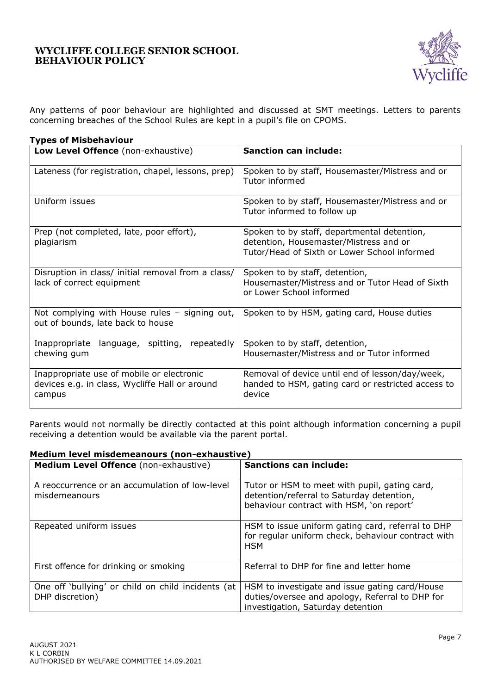

Any patterns of poor behaviour are highlighted and discussed at SMT meetings. Letters to parents concerning breaches of the School Rules are kept in a pupil's file on CPOMS.

### <span id="page-6-0"></span>**Types of Misbehaviour**

| Low Level Offence (non-exhaustive)                                                                    | <b>Sanction can include:</b>                                                                                                          |
|-------------------------------------------------------------------------------------------------------|---------------------------------------------------------------------------------------------------------------------------------------|
| Lateness (for registration, chapel, lessons, prep)                                                    | Spoken to by staff, Housemaster/Mistress and or<br>Tutor informed                                                                     |
| Uniform issues                                                                                        | Spoken to by staff, Housemaster/Mistress and or<br>Tutor informed to follow up                                                        |
| Prep (not completed, late, poor effort),<br>plagiarism                                                | Spoken to by staff, departmental detention,<br>detention, Housemaster/Mistress and or<br>Tutor/Head of Sixth or Lower School informed |
| Disruption in class/ initial removal from a class/<br>lack of correct equipment                       | Spoken to by staff, detention,<br>Housemaster/Mistress and or Tutor Head of Sixth<br>or Lower School informed                         |
| Not complying with House rules - signing out,<br>out of bounds, late back to house                    | Spoken to by HSM, gating card, House duties                                                                                           |
| Inappropriate<br>language, spitting,<br>repeatedly<br>chewing gum                                     | Spoken to by staff, detention,<br>Housemaster/Mistress and or Tutor informed                                                          |
| Inappropriate use of mobile or electronic<br>devices e.g. in class, Wycliffe Hall or around<br>campus | Removal of device until end of lesson/day/week,<br>handed to HSM, gating card or restricted access to<br>device                       |

Parents would not normally be directly contacted at this point although information concerning a pupil receiving a detention would be available via the parent portal.

| Medium level misdemeanours (non-exhaustive)                           |                                                                                                                                        |  |
|-----------------------------------------------------------------------|----------------------------------------------------------------------------------------------------------------------------------------|--|
| Medium Level Offence (non-exhaustive)                                 | <b>Sanctions can include:</b>                                                                                                          |  |
| A reoccurrence or an accumulation of low-level<br>misdemeanours       | Tutor or HSM to meet with pupil, gating card,<br>detention/referral to Saturday detention,<br>behaviour contract with HSM, 'on report' |  |
| Repeated uniform issues                                               | HSM to issue uniform gating card, referral to DHP<br>for regular uniform check, behaviour contract with<br><b>HSM</b>                  |  |
| First offence for drinking or smoking                                 | Referral to DHP for fine and letter home                                                                                               |  |
| One off 'bullying' or child on child incidents (at<br>DHP discretion) | HSM to investigate and issue gating card/House<br>duties/oversee and apology, Referral to DHP for<br>investigation, Saturday detention |  |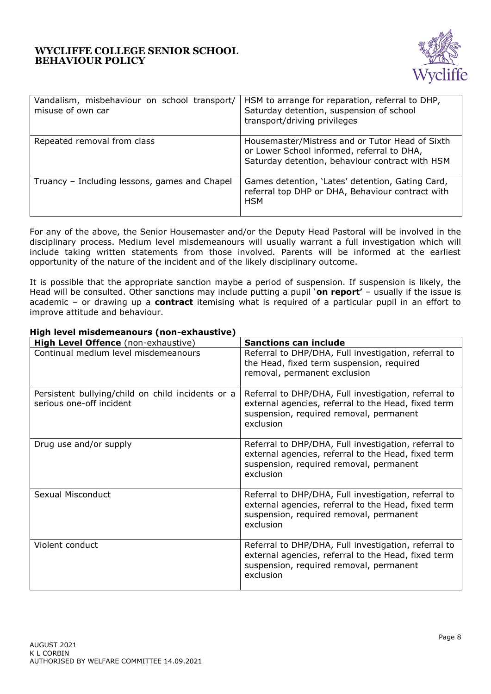

| Vandalism, misbehaviour on school transport/<br>misuse of own car | HSM to arrange for reparation, referral to DHP,<br>Saturday detention, suspension of school<br>transport/driving privileges                      |
|-------------------------------------------------------------------|--------------------------------------------------------------------------------------------------------------------------------------------------|
| Repeated removal from class                                       | Housemaster/Mistress and or Tutor Head of Sixth<br>or Lower School informed, referral to DHA,<br>Saturday detention, behaviour contract with HSM |
| Truancy - Including lessons, games and Chapel                     | Games detention, 'Lates' detention, Gating Card,<br>referral top DHP or DHA, Behaviour contract with<br><b>HSM</b>                               |

For any of the above, the Senior Housemaster and/or the Deputy Head Pastoral will be involved in the disciplinary process. Medium level misdemeanours will usually warrant a full investigation which will include taking written statements from those involved. Parents will be informed at the earliest opportunity of the nature of the incident and of the likely disciplinary outcome.

It is possible that the appropriate sanction maybe a period of suspension. If suspension is likely, the Head will be consulted. Other sanctions may include putting a pupil '**on report'** – usually if the issue is academic – or drawing up a **contract** itemising what is required of a particular pupil in an effort to improve attitude and behaviour.

| High Level Offence (non-exhaustive)                                           | <b>Sanctions can include</b>                                                                                                                                        |
|-------------------------------------------------------------------------------|---------------------------------------------------------------------------------------------------------------------------------------------------------------------|
| Continual medium level misdemeanours                                          | Referral to DHP/DHA, Full investigation, referral to<br>the Head, fixed term suspension, required<br>removal, permanent exclusion                                   |
| Persistent bullying/child on child incidents or a<br>serious one-off incident | Referral to DHP/DHA, Full investigation, referral to<br>external agencies, referral to the Head, fixed term<br>suspension, required removal, permanent<br>exclusion |
| Drug use and/or supply                                                        | Referral to DHP/DHA, Full investigation, referral to<br>external agencies, referral to the Head, fixed term<br>suspension, required removal, permanent<br>exclusion |
| Sexual Misconduct                                                             | Referral to DHP/DHA, Full investigation, referral to<br>external agencies, referral to the Head, fixed term<br>suspension, required removal, permanent<br>exclusion |
| Violent conduct                                                               | Referral to DHP/DHA, Full investigation, referral to<br>external agencies, referral to the Head, fixed term<br>suspension, required removal, permanent<br>exclusion |

# **High level misdemeanours (non-exhaustive)**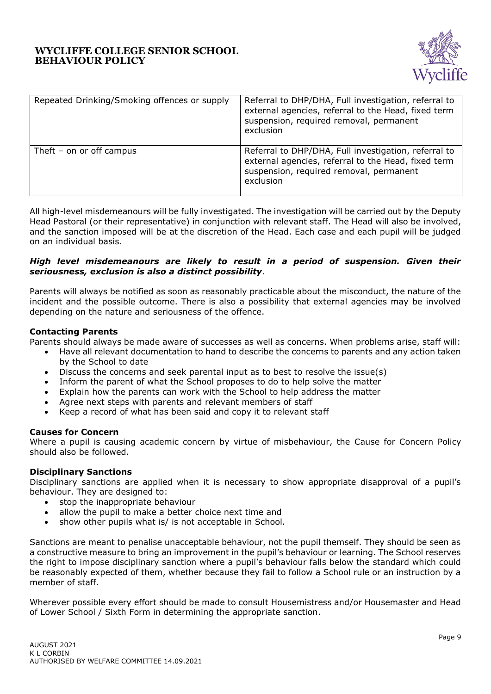

| Repeated Drinking/Smoking offences or supply | Referral to DHP/DHA, Full investigation, referral to<br>external agencies, referral to the Head, fixed term<br>suspension, required removal, permanent<br>exclusion |
|----------------------------------------------|---------------------------------------------------------------------------------------------------------------------------------------------------------------------|
| Theft – on or off campus                     | Referral to DHP/DHA, Full investigation, referral to<br>external agencies, referral to the Head, fixed term<br>suspension, required removal, permanent<br>exclusion |

All high-level misdemeanours will be fully investigated. The investigation will be carried out by the Deputy Head Pastoral (or their representative) in conjunction with relevant staff. The Head will also be involved, and the sanction imposed will be at the discretion of the Head. Each case and each pupil will be judged on an individual basis.

### *High level misdemeanours are likely to result in a period of suspension. Given their seriousness, exclusion is also a distinct possibility*.

Parents will always be notified as soon as reasonably practicable about the misconduct, the nature of the incident and the possible outcome. There is also a possibility that external agencies may be involved depending on the nature and seriousness of the offence.

### <span id="page-8-0"></span>**Contacting Parents**

Parents should always be made aware of successes as well as concerns. When problems arise, staff will:

- Have all relevant documentation to hand to describe the concerns to parents and any action taken by the School to date
- Discuss the concerns and seek parental input as to best to resolve the issue(s)
- Inform the parent of what the School proposes to do to help solve the matter
- Explain how the parents can work with the School to help address the matter
- Agree next steps with parents and relevant members of staff
- Keep a record of what has been said and copy it to relevant staff

#### <span id="page-8-1"></span>**Causes for Concern**

Where a pupil is causing academic concern by virtue of misbehaviour, the Cause for Concern Policy should also be followed.

#### <span id="page-8-2"></span>**Disciplinary Sanctions**

Disciplinary sanctions are applied when it is necessary to show appropriate disapproval of a pupil's behaviour. They are designed to:

- stop the inappropriate behaviour
- allow the pupil to make a better choice next time and
- show other pupils what is/ is not acceptable in School.

Sanctions are meant to penalise unacceptable behaviour, not the pupil themself. They should be seen as a constructive measure to bring an improvement in the pupil's behaviour or learning. The School reserves the right to impose disciplinary sanction where a pupil's behaviour falls below the standard which could be reasonably expected of them, whether because they fail to follow a School rule or an instruction by a member of staff.

Wherever possible every effort should be made to consult Housemistress and/or Housemaster and Head of Lower School / Sixth Form in determining the appropriate sanction.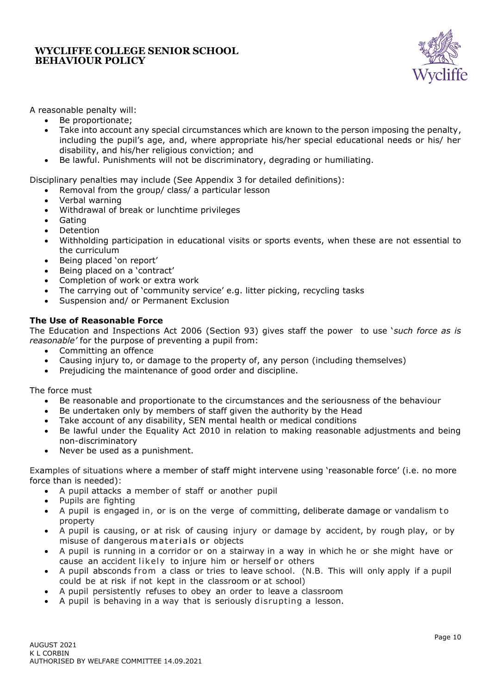

A reasonable penalty will:

- Be proportionate;
- Take into account any special circumstances which are known to the person imposing the penalty, including the pupil's age, and, where appropriate his/her special educational needs or his/ her disability, and his/her religious conviction; and
- Be lawful. Punishments will not be discriminatory, degrading or humiliating.

Disciplinary penalties may include (See Appendix 3 for detailed definitions):

- Removal from the group/ class/ a particular lesson
- Verbal warning
- Withdrawal of break or lunchtime privileges
- **Gating**
- **Detention**
- Withholding participation in educational visits or sports events, when these are not essential to the curriculum
- Being placed 'on report'
- Being placed on a 'contract'
- Completion of work or extra work
- The carrying out of 'community service' e.g. litter picking, recycling tasks
- Suspension and/ or Permanent Exclusion

### <span id="page-9-0"></span>**The Use of Reasonable Force**

The Education and Inspections Act 2006 (Section 93) gives staff the power to use '*such force as is reasonable'* for the purpose of preventing a pupil from:

- Committing an offence
- Causing injury to, or damage to the property of, any person (including themselves)
- Prejudicing the maintenance of good order and discipline.

The force must

- Be reasonable and proportionate to the circumstances and the seriousness of the behaviour
- Be undertaken only by members of staff given the authority by the Head
- Take account of any disability, SEN mental health or medical conditions
- Be lawful under the Equality Act 2010 in relation to making reasonable adjustments and being non-discriminatory
- Never be used as a punishment.

Examples of situations where a member of staff might intervene using 'reasonable force' (i.e. no more force than is needed):

- A pupil attacks a member of staff or another pupil
- Pupils are fighting
- A pupil is engaged in, or is on the verge of committing, deliberate damage or vandalism to property
- A pupil is causing, or at risk of causing injury or damage by accident, by rough play, or by misuse of dangerous materials or objects
- A pupil is running in a corridor or on a stairway in a way in which he or she might have or cause an accident likely to injure him or herself or others
- A pupil absconds from a class or tries to leave school. (N.B. This will only apply if a pupil could be at risk if not kept in the classroom or at school)
- A pupil persistently refuses to obey an order to leave a classroom
- A pupil is behaving in a way that is seriously disrupting a lesson.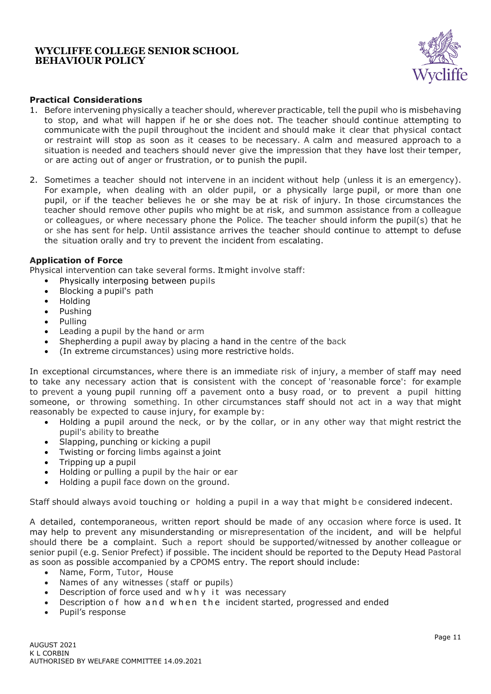

### **Practical Considerations**

- 1. Before intervening physically a teacher should, wherever practicable, tell the pupil who is misbehaving to stop, and what will happen if he or she does not. The teacher should continue attempting to communicate with the pupil throughout the incident and should make it clear that physical contact or restraint will stop as soon as it ceases to be necessary. A calm and measured approach to a situation is needed and teachers should never give the impression that they have lost their temper, or are acting out of anger or frustration, or to punish the pupil.
- 2. Sometimes a teacher should not intervene in an incident without help (unless it is an emergency). For example, when dealing with an older pupil, or a physically large pupil, or more than one pupil, or if the teacher believes he or she may be at risk of injury. In those circumstances the teacher should remove other pupils who might be at risk, and summon assistance from a colleague or colleagues, or where necessary phone the Police. The teacher should inform the pupil(s) that he or she has sent for help. Until assistance arrives the teacher should continue to attempt to defuse the situation orally and try to prevent the incident from escalating.

#### **Application of Force**

Physical intervention can take several forms. It might involve staff:

- Physically interposing between pupils
- Blocking a pupil's path
- Holding
- Pushing
- Pulling
- Leading a pupil by the hand or arm
- Shepherding a pupil away by placing a hand in the centre of the back
- (In extreme circumstances) using more restrictive holds.

In exceptional circumstances, where there is an immediate risk of injury, a member of staff may need to take any necessary action that is consistent with the concept of 'reasonable force': for example to prevent a young pupil running off a pavement onto a busy road, or to prevent a pupil hitting someone, or throwing something. In other circumstances staff should not act in a way that might reasonably be expected to cause injury, for example by:

- Holding a pupil around the neck, or by the collar, or in any other way that might restrict the pupil's ability to breathe
- Slapping, punching or kicking a pupil
- Twisting or forcing limbs against a joint
- Tripping up a pupil
- Holding or pulling a pupil by the hair or ear
- Holding a pupil face down on the ground.

Staff should always avoid touching or holding a pupil in a way that might be considered indecent.

A detailed, contemporaneous, written report should be made of any occasion where force is used. It may help to prevent any misunderstanding or misrepresentation of the incident, and will be helpful should there be a complaint. Such a report should be supported/witnessed by another colleague or senior pupil (e.g. Senior Prefect) if possible. The incident should be reported to the Deputy Head Pastoral as soon as possible accompanied by a CPOMS entry. The report should include:

- Name, Form, Tutor, House
- Names of any witnesses (staff or pupils)
- Description of force used and why it was necessary
- Description of how and when the incident started, progressed and ended
- Pupil's response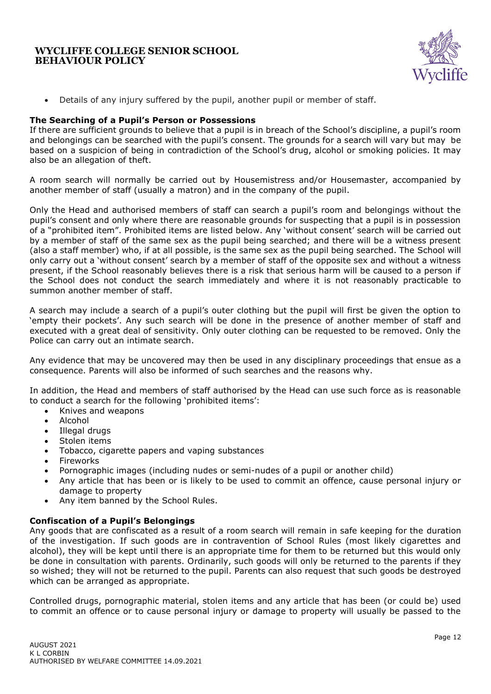

• Details of any injury suffered by the pupil, another pupil or member of staff.

### <span id="page-11-0"></span>**The Searching of a Pupil's Person or Possessions**

If there are sufficient grounds to believe that a pupil is in breach of the School's discipline, a pupil's room and belongings can be searched with the pupil's consent. The grounds for a search will vary but may be based on a suspicion of being in contradiction of the School's drug, alcohol or smoking policies. It may also be an allegation of theft.

A room search will normally be carried out by Housemistress and/or Housemaster, accompanied by another member of staff (usually a matron) and in the company of the pupil.

Only the Head and authorised members of staff can search a pupil's room and belongings without the pupil's consent and only where there are reasonable grounds for suspecting that a pupil is in possession of a "prohibited item". Prohibited items are listed below. Any 'without consent' search will be carried out by a member of staff of the same sex as the pupil being searched; and there will be a witness present (also a staff member) who, if at all possible, is the same sex as the pupil being searched. The School will only carry out a 'without consent' search by a member of staff of the opposite sex and without a witness present, if the School reasonably believes there is a risk that serious harm will be caused to a person if the School does not conduct the search immediately and where it is not reasonably practicable to summon another member of staff.

A search may include a search of a pupil's outer clothing but the pupil will first be given the option to 'empty their pockets'. Any such search will be done in the presence of another member of staff and executed with a great deal of sensitivity. Only outer clothing can be requested to be removed. Only the Police can carry out an intimate search.

Any evidence that may be uncovered may then be used in any disciplinary proceedings that ensue as a consequence. Parents will also be informed of such searches and the reasons why.

In addition, the Head and members of staff authorised by the Head can use such force as is reasonable to conduct a search for the following 'prohibited items':

- Knives and weapons
- Alcohol
- Illegal drugs
- Stolen items
- Tobacco, cigarette papers and vaping substances
- **Fireworks**
- Pornographic images (including nudes or semi-nudes of a pupil or another child)
- Any article that has been or is likely to be used to commit an offence, cause personal injury or damage to property
- Any item banned by the School Rules.

### **Confiscation of a Pupil's Belongings**

Any goods that are confiscated as a result of a room search will remain in safe keeping for the duration of the investigation. If such goods are in contravention of School Rules (most likely cigarettes and alcohol), they will be kept until there is an appropriate time for them to be returned but this would only be done in consultation with parents. Ordinarily, such goods will only be returned to the parents if they so wished; they will not be returned to the pupil. Parents can also request that such goods be destroyed which can be arranged as appropriate.

Controlled drugs, pornographic material, stolen items and any article that has been (or could be) used to commit an offence or to cause personal injury or damage to property will usually be passed to the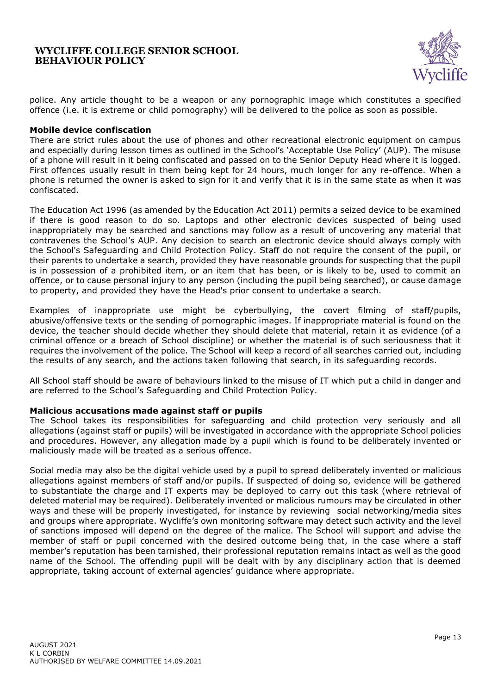

police. Any article thought to be a weapon or any pornographic image which constitutes a specified offence (i.e. it is extreme or child pornography) will be delivered to the police as soon as possible.

#### **Mobile device confiscation**

There are strict rules about the use of phones and other recreational electronic equipment on campus and especially during lesson times as outlined in the School's 'Acceptable Use Policy' (AUP). The misuse of a phone will result in it being confiscated and passed on to the Senior Deputy Head where it is logged. First offences usually result in them being kept for 24 hours, much longer for any re-offence. When a phone is returned the owner is asked to sign for it and verify that it is in the same state as when it was confiscated.

The Education Act 1996 (as amended by the Education Act 2011) permits a seized device to be examined if there is good reason to do so. Laptops and other electronic devices suspected of being used inappropriately may be searched and sanctions may follow as a result of uncovering any material that contravenes the School's AUP. Any decision to search an electronic device should always comply with the School's Safeguarding and Child Protection Policy. Staff do not require the consent of the pupil, or their parents to undertake a search, provided they have reasonable grounds for suspecting that the pupil is in possession of a prohibited item, or an item that has been, or is likely to be, used to commit an offence, or to cause personal injury to any person (including the pupil being searched), or cause damage to property, and provided they have the Head's prior consent to undertake a search.

Examples of inappropriate use might be cyberbullying, the covert filming of staff/pupils, abusive/offensive texts or the sending of pornographic images. If inappropriate material is found on the device, the teacher should decide whether they should delete that material, retain it as evidence (of a criminal offence or a breach of School discipline) or whether the material is of such seriousness that it requires the involvement of the police. The School will keep a record of all searches carried out, including the results of any search, and the actions taken following that search, in its safeguarding records.

All School staff should be aware of behaviours linked to the misuse of IT which put a child in danger and are referred to the School's Safeguarding and Child Protection Policy.

### <span id="page-12-0"></span>**Malicious accusations made against staff or pupils**

The School takes its responsibilities for safeguarding and child protection very seriously and all allegations (against staff or pupils) will be investigated in accordance with the appropriate School policies and procedures. However, any allegation made by a pupil which is found to be deliberately invented or maliciously made will be treated as a serious offence.

Social media may also be the digital vehicle used by a pupil to spread deliberately invented or malicious allegations against members of staff and/or pupils. If suspected of doing so, evidence will be gathered to substantiate the charge and IT experts may be deployed to carry out this task (where retrieval of deleted material may be required). Deliberately invented or malicious rumours may be circulated in other ways and these will be properly investigated, for instance by reviewing social networking/media sites and groups where appropriate. Wycliffe's own monitoring software may detect such activity and the level of sanctions imposed will depend on the degree of the malice. The School will support and advise the member of staff or pupil concerned with the desired outcome being that, in the case where a staff member's reputation has been tarnished, their professional reputation remains intact as well as the good name of the School. The offending pupil will be dealt with by any disciplinary action that is deemed appropriate, taking account of external agencies' guidance where appropriate.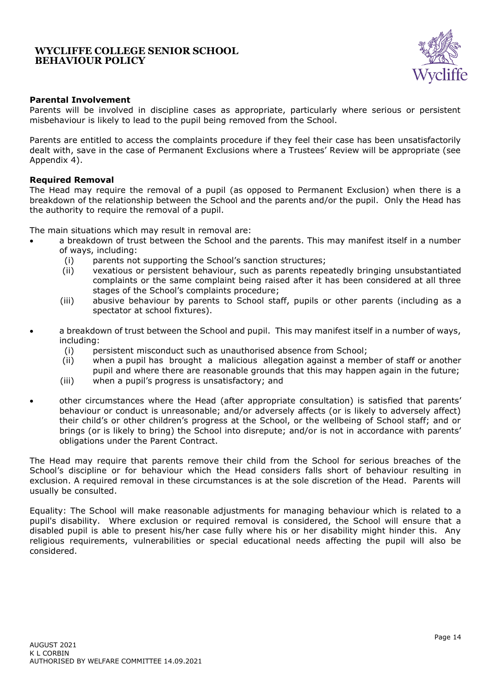

### **Parental Involvement**

Parents will be involved in discipline cases as appropriate, particularly where serious or persistent misbehaviour is likely to lead to the pupil being removed from the School.

Parents are entitled to access the complaints procedure if they feel their case has been unsatisfactorily dealt with, save in the case of Permanent Exclusions where a Trustees' Review will be appropriate (see Appendix 4).

### <span id="page-13-0"></span>**Required Removal**

The Head may require the removal of a pupil (as opposed to Permanent Exclusion) when there is a breakdown of the relationship between the School and the parents and/or the pupil. Only the Head has the authority to require the removal of a pupil.

The main situations which may result in removal are:

- a breakdown of trust between the School and the parents. This may manifest itself in a number of ways, including:
	- (i) parents not supporting the School's sanction structures;
	- (ii) vexatious or persistent behaviour, such as parents repeatedly bringing unsubstantiated complaints or the same complaint being raised after it has been considered at all three stages of the School's complaints procedure;
	- (iii) abusive behaviour by parents to School staff, pupils or other parents (including as a spectator at school fixtures).
- a breakdown of trust between the School and pupil. This may manifest itself in a number of ways, including:
	- (i) persistent misconduct such as unauthorised absence from School;
	- (ii) when a pupil has brought a malicious allegation against a member of staff or another pupil and where there are reasonable grounds that this may happen again in the future;
	- (iii) when a pupil's progress is unsatisfactory; and
- other circumstances where the Head (after appropriate consultation) is satisfied that parents' behaviour or conduct is unreasonable; and/or adversely affects (or is likely to adversely affect) their child's or other children's progress at the School, or the wellbeing of School staff; and or brings (or is likely to bring) the School into disrepute; and/or is not in accordance with parents' obligations under the Parent Contract.

The Head may require that parents remove their child from the School for serious breaches of the School's discipline or for behaviour which the Head considers falls short of behaviour resulting in exclusion. A required removal in these circumstances is at the sole discretion of the Head. Parents will usually be consulted.

Equality: The School will make reasonable adjustments for managing behaviour which is related to a pupil's disability. Where exclusion or required removal is considered, the School will ensure that a disabled pupil is able to present his/her case fully where his or her disability might hinder this. Any religious requirements, vulnerabilities or special educational needs affecting the pupil will also be considered.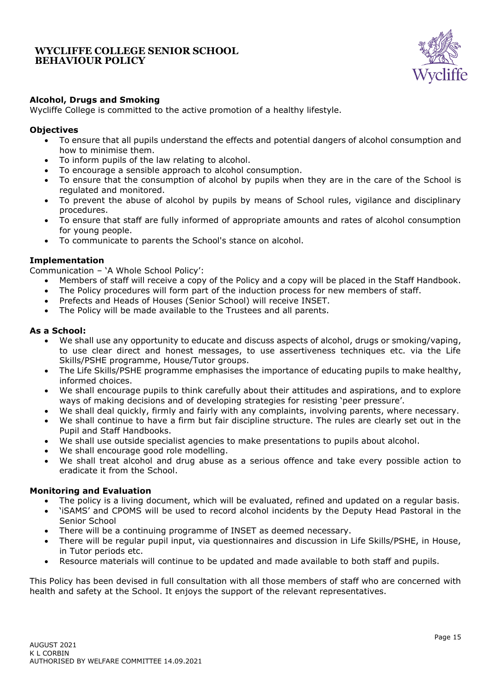

### <span id="page-14-0"></span>**Alcohol, Drugs and Smoking**

Wycliffe College is committed to the active promotion of a healthy lifestyle.

### **Objectives**

- To ensure that all pupils understand the effects and potential dangers of alcohol consumption and how to minimise them.
- To inform pupils of the law relating to alcohol.
- To encourage a sensible approach to alcohol consumption.
- To ensure that the consumption of alcohol by pupils when they are in the care of the School is regulated and monitored.
- To prevent the abuse of alcohol by pupils by means of School rules, vigilance and disciplinary procedures.
- To ensure that staff are fully informed of appropriate amounts and rates of alcohol consumption for young people.
- To communicate to parents the School's stance on alcohol.

### **Implementation**

Communication – 'A Whole School Policy':

- Members of staff will receive a copy of the Policy and a copy will be placed in the Staff Handbook.
- The Policy procedures will form part of the induction process for new members of staff.
- Prefects and Heads of Houses (Senior School) will receive INSET.
- The Policy will be made available to the Trustees and all parents.

#### **As a School:**

- We shall use any opportunity to educate and discuss aspects of alcohol, drugs or smoking/vaping, to use clear direct and honest messages, to use assertiveness techniques etc. via the Life Skills/PSHE programme, House/Tutor groups.
- The Life Skills/PSHE programme emphasises the importance of educating pupils to make healthy, informed choices.
- We shall encourage pupils to think carefully about their attitudes and aspirations, and to explore ways of making decisions and of developing strategies for resisting 'peer pressure'.
- We shall deal quickly, firmly and fairly with any complaints, involving parents, where necessary.
- We shall continue to have a firm but fair discipline structure. The rules are clearly set out in the Pupil and Staff Handbooks.
- We shall use outside specialist agencies to make presentations to pupils about alcohol.
- We shall encourage good role modelling.
- We shall treat alcohol and drug abuse as a serious offence and take every possible action to eradicate it from the School.

### **Monitoring and Evaluation**

- The policy is a living document, which will be evaluated, refined and updated on a regular basis.
- 'iSAMS' and CPOMS will be used to record alcohol incidents by the Deputy Head Pastoral in the Senior School
- There will be a continuing programme of INSET as deemed necessary.
- There will be regular pupil input, via questionnaires and discussion in Life Skills/PSHE, in House, in Tutor periods etc.
- Resource materials will continue to be updated and made available to both staff and pupils.

This Policy has been devised in full consultation with all those members of staff who are concerned with health and safety at the School. It enjoys the support of the relevant representatives.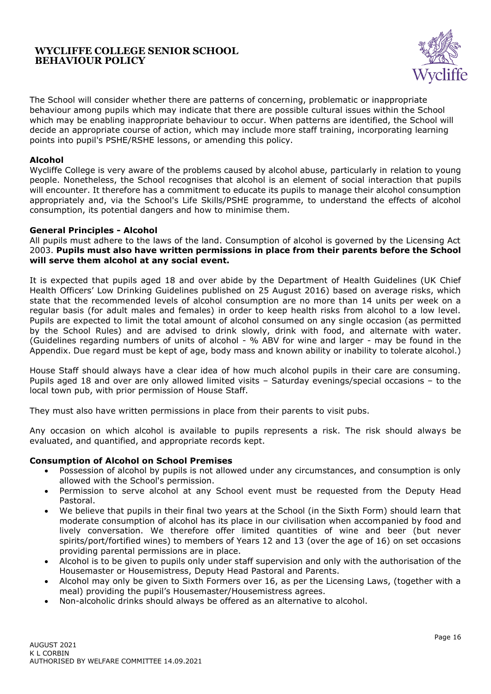

The School will consider whether there are patterns of concerning, problematic or inappropriate behaviour among pupils which may indicate that there are possible cultural issues within the School which may be enabling inappropriate behaviour to occur. When patterns are identified, the School will decide an appropriate course of action, which may include more staff training, incorporating learning points into pupil's PSHE/RSHE lessons, or amending this policy.

### **Alcohol**

Wycliffe College is very aware of the problems caused by alcohol abuse, particularly in relation to young people. Nonetheless, the School recognises that alcohol is an element of social interaction that pupils will encounter. It therefore has a commitment to educate its pupils to manage their alcohol consumption appropriately and, via the School's Life Skills/PSHE programme, to understand the effects of alcohol consumption, its potential dangers and how to minimise them.

#### <span id="page-15-0"></span>**General Principles - Alcohol**

All pupils must adhere to the laws of the land. Consumption of alcohol is governed by the Licensing Act 2003. **Pupils must also have written permissions in place from their parents before the School will serve them alcohol at any social event.**

It is expected that pupils aged 18 and over abide by the Department of Health Guidelines (UK Chief Health Officers' Low Drinking Guidelines published on 25 August 2016) based on average risks, which state that the recommended levels of alcohol consumption are no more than 14 units per week on a regular basis (for adult males and females) in order to keep health risks from alcohol to a low level. Pupils are expected to limit the total amount of alcohol consumed on any single occasion (as permitted by the School Rules) and are advised to drink slowly, drink with food, and alternate with water. (Guidelines regarding numbers of units of alcohol - % ABV for wine and larger - may be found in the Appendix. Due regard must be kept of age, body mass and known ability or inability to tolerate alcohol.)

House Staff should always have a clear idea of how much alcohol pupils in their care are consuming. Pupils aged 18 and over are only allowed limited visits – Saturday evenings/special occasions – to the local town pub, with prior permission of House Staff.

They must also have written permissions in place from their parents to visit pubs.

Any occasion on which alcohol is available to pupils represents a risk. The risk should always be evaluated, and quantified, and appropriate records kept.

#### **Consumption of Alcohol on School Premises**

- Possession of alcohol by pupils is not allowed under any circumstances, and consumption is only allowed with the School's permission.
- Permission to serve alcohol at any School event must be requested from the Deputy Head Pastoral.
- We believe that pupils in their final two years at the School (in the Sixth Form) should learn that moderate consumption of alcohol has its place in our civilisation when accompanied by food and lively conversation. We therefore offer limited quantities of wine and beer (but never spirits/port/fortified wines) to members of Years 12 and 13 (over the age of 16) on set occasions providing parental permissions are in place.
- Alcohol is to be given to pupils only under staff supervision and only with the authorisation of the Housemaster or Housemistress, Deputy Head Pastoral and Parents.
- Alcohol may only be given to Sixth Formers over 16, as per the Licensing Laws, (together with a meal) providing the pupil's Housemaster/Housemistress agrees.
- Non-alcoholic drinks should always be offered as an alternative to alcohol.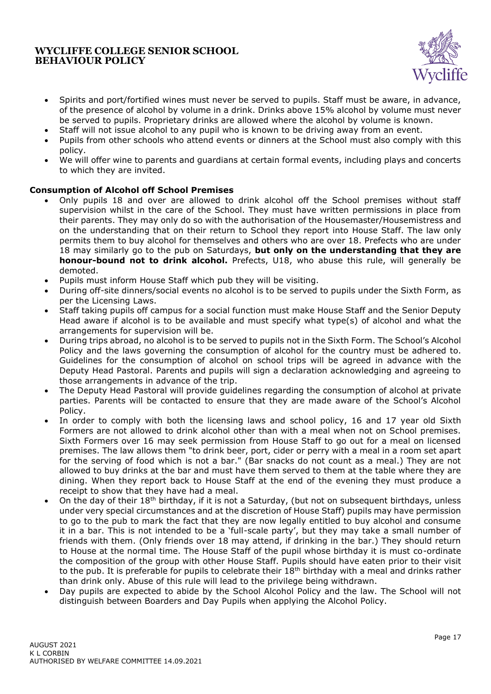

- Spirits and port/fortified wines must never be served to pupils. Staff must be aware, in advance, of the presence of alcohol by volume in a drink. Drinks above 15% alcohol by volume must never be served to pupils. Proprietary drinks are allowed where the alcohol by volume is known.
- Staff will not issue alcohol to any pupil who is known to be driving away from an event.
- Pupils from other schools who attend events or dinners at the School must also comply with this policy.
- We will offer wine to parents and guardians at certain formal events, including plays and concerts to which they are invited.

### **Consumption of Alcohol off School Premises**

- Only pupils 18 and over are allowed to drink alcohol off the School premises without staff supervision whilst in the care of the School. They must have written permissions in place from their parents. They may only do so with the authorisation of the Housemaster/Housemistress and on the understanding that on their return to School they report into House Staff. The law only permits them to buy alcohol for themselves and others who are over 18. Prefects who are under 18 may similarly go to the pub on Saturdays, **but only on the understanding that they are honour-bound not to drink alcohol.** Prefects, U18, who abuse this rule, will generally be demoted.
- Pupils must inform House Staff which pub they will be visiting.
- During off-site dinners/social events no alcohol is to be served to pupils under the Sixth Form, as per the Licensing Laws.
- Staff taking pupils off campus for a social function must make House Staff and the Senior Deputy Head aware if alcohol is to be available and must specify what type(s) of alcohol and what the arrangements for supervision will be.
- During trips abroad, no alcohol is to be served to pupils not in the Sixth Form. The School's Alcohol Policy and the laws governing the consumption of alcohol for the country must be adhered to. Guidelines for the consumption of alcohol on school trips will be agreed in advance with the Deputy Head Pastoral. Parents and pupils will sign a declaration acknowledging and agreeing to those arrangements in advance of the trip.
- The Deputy Head Pastoral will provide guidelines regarding the consumption of alcohol at private parties. Parents will be contacted to ensure that they are made aware of the School's Alcohol Policy.
- In order to comply with both the licensing laws and school policy, 16 and 17 year old Sixth Formers are not allowed to drink alcohol other than with a meal when not on School premises. Sixth Formers over 16 may seek permission from House Staff to go out for a meal on licensed premises. The law allows them "to drink beer, port, cider or perry with a meal in a room set apart for the serving of food which is not a bar." (Bar snacks do not count as a meal.) They are not allowed to buy drinks at the bar and must have them served to them at the table where they are dining. When they report back to House Staff at the end of the evening they must produce a receipt to show that they have had a meal.
- On the day of their 18<sup>th</sup> birthday, if it is not a Saturday, (but not on subsequent birthdays, unless under very special circumstances and at the discretion of House Staff) pupils may have permission to go to the pub to mark the fact that they are now legally entitled to buy alcohol and consume it in a bar. This is not intended to be a 'full-scale party', but they may take a small number of friends with them. (Only friends over 18 may attend, if drinking in the bar.) They should return to House at the normal time. The House Staff of the pupil whose birthday it is must co-ordinate the composition of the group with other House Staff. Pupils should have eaten prior to their visit to the pub. It is preferable for pupils to celebrate their  $18<sup>th</sup>$  birthday with a meal and drinks rather than drink only. Abuse of this rule will lead to the privilege being withdrawn.
- Day pupils are expected to abide by the School Alcohol Policy and the law. The School will not distinguish between Boarders and Day Pupils when applying the Alcohol Policy.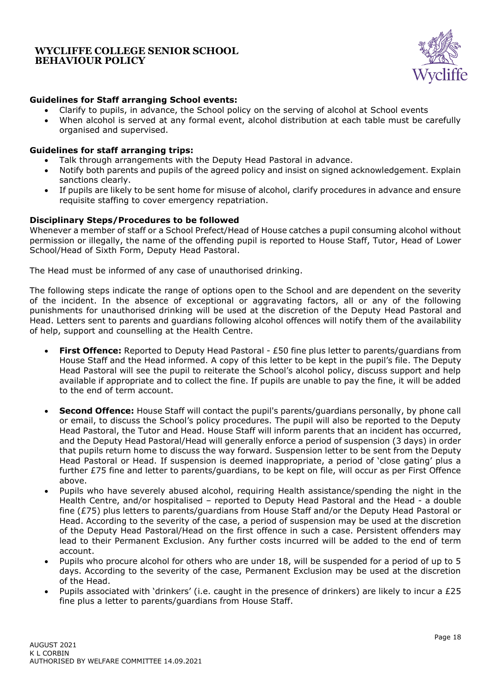

# **Guidelines for Staff arranging School events:**

- Clarify to pupils, in advance, the School policy on the serving of alcohol at School events
- When alcohol is served at any formal event, alcohol distribution at each table must be carefully organised and supervised.

### **Guidelines for staff arranging trips:**

- Talk through arrangements with the Deputy Head Pastoral in advance.
- Notify both parents and pupils of the agreed policy and insist on signed acknowledgement. Explain sanctions clearly.
- If pupils are likely to be sent home for misuse of alcohol, clarify procedures in advance and ensure requisite staffing to cover emergency repatriation.

### **Disciplinary Steps/Procedures to be followed**

Whenever a member of staff or a School Prefect/Head of House catches a pupil consuming alcohol without permission or illegally, the name of the offending pupil is reported to House Staff, Tutor, Head of Lower School/Head of Sixth Form, Deputy Head Pastoral.

The Head must be informed of any case of unauthorised drinking.

The following steps indicate the range of options open to the School and are dependent on the severity of the incident. In the absence of exceptional or aggravating factors, all or any of the following punishments for unauthorised drinking will be used at the discretion of the Deputy Head Pastoral and Head. Letters sent to parents and guardians following alcohol offences will notify them of the availability of help, support and counselling at the Health Centre.

- **First Offence:** Reported to Deputy Head Pastoral £50 fine plus letter to parents/guardians from House Staff and the Head informed. A copy of this letter to be kept in the pupil's file. The Deputy Head Pastoral will see the pupil to reiterate the School's alcohol policy, discuss support and help available if appropriate and to collect the fine. If pupils are unable to pay the fine, it will be added to the end of term account.
- **Second Offence:** House Staff will contact the pupil's parents/guardians personally, by phone call or email, to discuss the School's policy procedures. The pupil will also be reported to the Deputy Head Pastoral, the Tutor and Head. House Staff will inform parents that an incident has occurred, and the Deputy Head Pastoral/Head will generally enforce a period of suspension (3 days) in order that pupils return home to discuss the way forward. Suspension letter to be sent from the Deputy Head Pastoral or Head. If suspension is deemed inappropriate, a period of 'close gating' plus a further £75 fine and letter to parents/guardians, to be kept on file, will occur as per First Offence above.
- Pupils who have severely abused alcohol, requiring Health assistance/spending the night in the Health Centre, and/or hospitalised – reported to Deputy Head Pastoral and the Head - a double fine (£75) plus letters to parents/guardians from House Staff and/or the Deputy Head Pastoral or Head. According to the severity of the case, a period of suspension may be used at the discretion of the Deputy Head Pastoral/Head on the first offence in such a case. Persistent offenders may lead to their Permanent Exclusion. Any further costs incurred will be added to the end of term account.
- Pupils who procure alcohol for others who are under 18, will be suspended for a period of up to 5 days. According to the severity of the case, Permanent Exclusion may be used at the discretion of the Head.
- Pupils associated with 'drinkers' (i.e. caught in the presence of drinkers) are likely to incur a £25 fine plus a letter to parents/guardians from House Staff.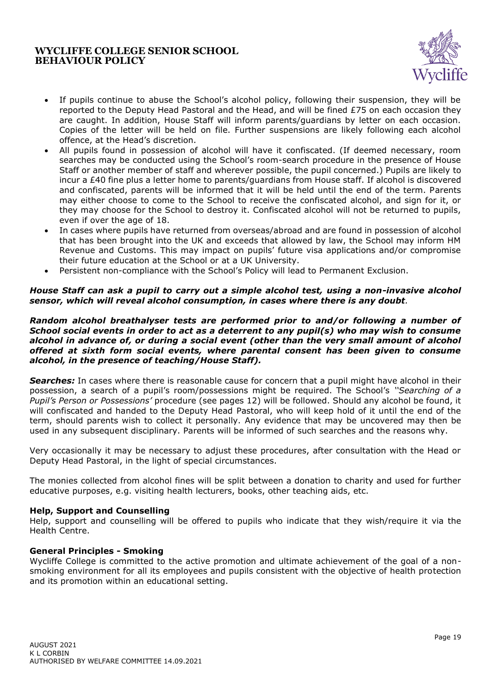

- If pupils continue to abuse the School's alcohol policy, following their suspension, they will be reported to the Deputy Head Pastoral and the Head, and will be fined £75 on each occasion they are caught. In addition, House Staff will inform parents/guardians by letter on each occasion. Copies of the letter will be held on file. Further suspensions are likely following each alcohol offence, at the Head's discretion.
- All pupils found in possession of alcohol will have it confiscated. (If deemed necessary, room searches may be conducted using the School's room-search procedure in the presence of House Staff or another member of staff and wherever possible, the pupil concerned.) Pupils are likely to incur a £40 fine plus a letter home to parents/guardians from House staff. If alcohol is discovered and confiscated, parents will be informed that it will be held until the end of the term. Parents may either choose to come to the School to receive the confiscated alcohol, and sign for it, or they may choose for the School to destroy it. Confiscated alcohol will not be returned to pupils, even if over the age of 18.
- In cases where pupils have returned from overseas/abroad and are found in possession of alcohol that has been brought into the UK and exceeds that allowed by law, the School may inform HM Revenue and Customs. This may impact on pupils' future visa applications and/or compromise their future education at the School or at a UK University.
- Persistent non-compliance with the School's Policy will lead to Permanent Exclusion.

### *House Staff can ask a pupil to carry out a simple alcohol test, using a non-invasive alcohol sensor, which will reveal alcohol consumption, in cases where there is any doubt.*

*Random alcohol breathalyser tests are performed prior to and/or following a number of School social events in order to act as a deterrent to any pupil(s) who may wish to consume alcohol in advance of, or during a social event (other than the very small amount of alcohol offered at sixth form social events, where parental consent has been given to consume alcohol, in the presence of teaching/House Staff).*

**Searches:** In cases where there is reasonable cause for concern that a pupil might have alcohol in their possession, a search of a pupil's room/possessions might be required. The School's *''Searching of a Pupil's Person or Possessions'* procedure (see pages 12) will be followed. Should any alcohol be found, it will confiscated and handed to the Deputy Head Pastoral, who will keep hold of it until the end of the term, should parents wish to collect it personally. Any evidence that may be uncovered may then be used in any subsequent disciplinary. Parents will be informed of such searches and the reasons why.

Very occasionally it may be necessary to adjust these procedures, after consultation with the Head or Deputy Head Pastoral, in the light of special circumstances.

The monies collected from alcohol fines will be split between a donation to charity and used for further educative purposes, e.g. visiting health lecturers, books, other teaching aids, etc.

#### **Help, Support and Counselling**

Help, support and counselling will be offered to pupils who indicate that they wish/require it via the Health Centre.

#### <span id="page-18-0"></span>**General Principles - Smoking**

Wycliffe College is committed to the active promotion and ultimate achievement of the goal of a nonsmoking environment for all its employees and pupils consistent with the objective of health protection and its promotion within an educational setting.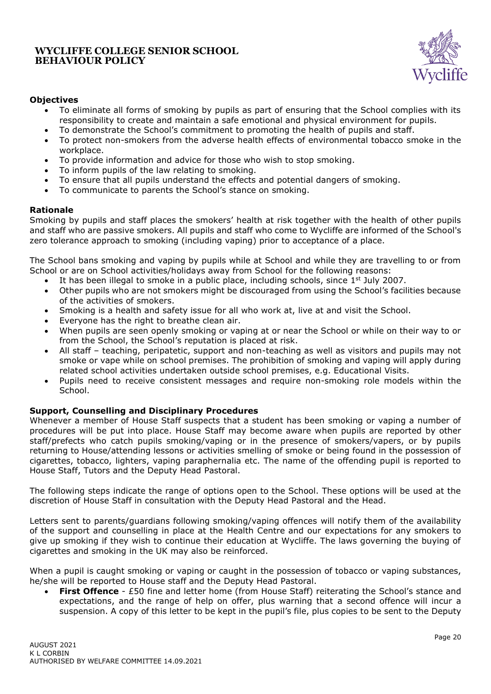

# **Objectives**

- To eliminate all forms of smoking by pupils as part of ensuring that the School complies with its responsibility to create and maintain a safe emotional and physical environment for pupils.
- To demonstrate the School's commitment to promoting the health of pupils and staff.
- To protect non-smokers from the adverse health effects of environmental tobacco smoke in the workplace.
- To provide information and advice for those who wish to stop smoking.
- To inform pupils of the law relating to smoking.
- To ensure that all pupils understand the effects and potential dangers of smoking.
- To communicate to parents the School's stance on smoking.

# **Rationale**

Smoking by pupils and staff places the smokers' health at risk together with the health of other pupils and staff who are passive smokers. All pupils and staff who come to Wycliffe are informed of the School's zero tolerance approach to smoking (including vaping) prior to acceptance of a place.

The School bans smoking and vaping by pupils while at School and while they are travelling to or from School or are on School activities/holidays away from School for the following reasons:

- It has been illegal to smoke in a public place, including schools, since  $1<sup>st</sup>$  July 2007.
- Other pupils who are not smokers might be discouraged from using the School's facilities because of the activities of smokers.
- Smoking is a health and safety issue for all who work at, live at and visit the School.
- Everyone has the right to breathe clean air.
- When pupils are seen openly smoking or vaping at or near the School or while on their way to or from the School, the School's reputation is placed at risk.
- All staff teaching, peripatetic, support and non-teaching as well as visitors and pupils may not smoke or vape while on school premises. The prohibition of smoking and vaping will apply during related school activities undertaken outside school premises, e.g. Educational Visits.
- Pupils need to receive consistent messages and require non-smoking role models within the School.

### **Support, Counselling and Disciplinary Procedures**

Whenever a member of House Staff suspects that a student has been smoking or vaping a number of procedures will be put into place. House Staff may become aware when pupils are reported by other staff/prefects who catch pupils smoking/vaping or in the presence of smokers/vapers, or by pupils returning to House/attending lessons or activities smelling of smoke or being found in the possession of cigarettes, tobacco, lighters, vaping paraphernalia etc. The name of the offending pupil is reported to House Staff, Tutors and the Deputy Head Pastoral.

The following steps indicate the range of options open to the School. These options will be used at the discretion of House Staff in consultation with the Deputy Head Pastoral and the Head.

Letters sent to parents/guardians following smoking/vaping offences will notify them of the availability of the support and counselling in place at the Health Centre and our expectations for any smokers to give up smoking if they wish to continue their education at Wycliffe. The laws governing the buying of cigarettes and smoking in the UK may also be reinforced.

When a pupil is caught smoking or vaping or caught in the possession of tobacco or vaping substances, he/she will be reported to House staff and the Deputy Head Pastoral.

• **First Offence** - £50 fine and letter home (from House Staff) reiterating the School's stance and expectations, and the range of help on offer, plus warning that a second offence will incur a suspension. A copy of this letter to be kept in the pupil's file, plus copies to be sent to the Deputy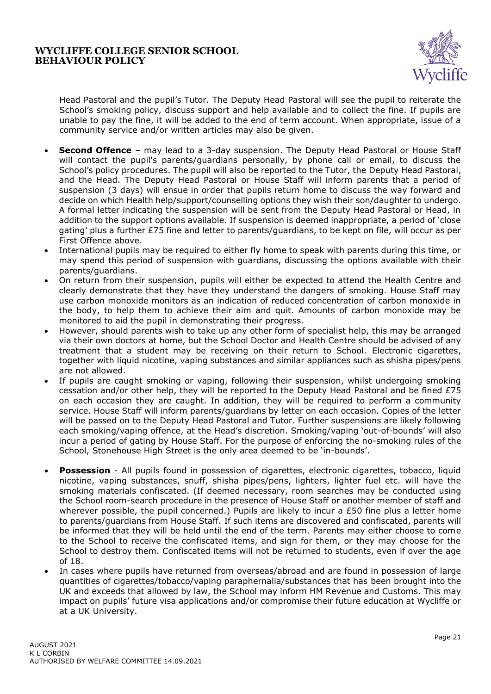

Head Pastoral and the pupil's Tutor. The Deputy Head Pastoral will see the pupil to reiterate the School's smoking policy, discuss support and help available and to collect the fine. If pupils are unable to pay the fine, it will be added to the end of term account. When appropriate, issue of a community service and/or written articles may also be given.

- **Second Offence** may lead to a 3-day suspension. The Deputy Head Pastoral or House Staff will contact the pupil's parents/guardians personally, by phone call or email, to discuss the School's policy procedures. The pupil will also be reported to the Tutor, the Deputy Head Pastoral, and the Head. The Deputy Head Pastoral or House Staff will inform parents that a period of suspension (3 days) will ensue in order that pupils return home to discuss the way forward and decide on which Health help/support/counselling options they wish their son/daughter to undergo. A formal letter indicating the suspension will be sent from the Deputy Head Pastoral or Head, in addition to the support options available. If suspension is deemed inappropriate, a period of 'close gating' plus a further £75 fine and letter to parents/guardians, to be kept on file, will occur as per First Offence above.
- International pupils may be required to either fly home to speak with parents during this time, or may spend this period of suspension with guardians, discussing the options available with their parents/guardians.
- On return from their suspension, pupils will either be expected to attend the Health Centre and clearly demonstrate that they have they understand the dangers of smoking. House Staff may use carbon monoxide monitors as an indication of reduced concentration of carbon monoxide in the body, to help them to achieve their aim and quit. Amounts of carbon monoxide may be monitored to aid the pupil in demonstrating their progress.
- However, should parents wish to take up any other form of specialist help, this may be arranged via their own doctors at home, but the School Doctor and Health Centre should be advised of any treatment that a student may be receiving on their return to School. Electronic cigarettes, together with liquid nicotine, vaping substances and similar appliances such as shisha pipes/pens are not allowed.
- If pupils are caught smoking or vaping, following their suspension, whilst undergoing smoking cessation and/or other help, they will be reported to the Deputy Head Pastoral and be fined £75 on each occasion they are caught. In addition, they will be required to perform a community service. House Staff will inform parents/guardians by letter on each occasion. Copies of the letter will be passed on to the Deputy Head Pastoral and Tutor. Further suspensions are likely following each smoking/vaping offence, at the Head's discretion. Smoking/vaping 'out-of-bounds' will also incur a period of gating by House Staff. For the purpose of enforcing the no-smoking rules of the School, Stonehouse High Street is the only area deemed to be 'in-bounds'.
- **Possession** All pupils found in possession of cigarettes, electronic cigarettes, tobacco, liquid nicotine, vaping substances, snuff, shisha pipes/pens, lighters, lighter fuel etc. will have the smoking materials confiscated. (If deemed necessary, room searches may be conducted using the School room-search procedure in the presence of House Staff or another member of staff and wherever possible, the pupil concerned.) Pupils are likely to incur a £50 fine plus a letter home to parents/guardians from House Staff. If such items are discovered and confiscated, parents will be informed that they will be held until the end of the term. Parents may either choose to come to the School to receive the confiscated items, and sign for them, or they may choose for the School to destroy them. Confiscated items will not be returned to students, even if over the age of 18.
- In cases where pupils have returned from overseas/abroad and are found in possession of large quantities of cigarettes/tobacco/vaping paraphernalia/substances that has been brought into the UK and exceeds that allowed by law, the School may inform HM Revenue and Customs. This may impact on pupils' future visa applications and/or compromise their future education at Wycliffe or at a UK University.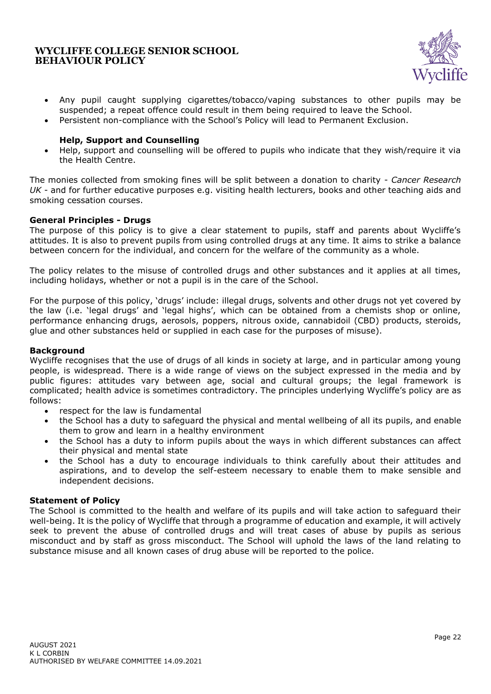

- Any pupil caught supplying cigarettes/tobacco/vaping substances to other pupils may be suspended; a repeat offence could result in them being required to leave the School.
- Persistent non-compliance with the School's Policy will lead to Permanent Exclusion.

#### **Help, Support and Counselling**

• Help, support and counselling will be offered to pupils who indicate that they wish/require it via the Health Centre.

The monies collected from smoking fines will be split between a donation to charity - *Cancer Research UK* - and for further educative purposes e.g. visiting health lecturers, books and other teaching aids and smoking cessation courses.

#### <span id="page-21-0"></span>**General Principles - Drugs**

The purpose of this policy is to give a clear statement to pupils, staff and parents about Wycliffe's attitudes. It is also to prevent pupils from using controlled drugs at any time. It aims to strike a balance between concern for the individual, and concern for the welfare of the community as a whole.

The policy relates to the misuse of controlled drugs and other substances and it applies at all times, including holidays, whether or not a pupil is in the care of the School.

For the purpose of this policy, 'drugs' include: illegal drugs, solvents and other drugs not yet covered by the law (i.e. 'legal drugs' and 'legal highs', which can be obtained from a chemists shop or online, performance enhancing drugs, aerosols, poppers, nitrous oxide, cannabidoil (CBD) products, steroids, glue and other substances held or supplied in each case for the purposes of misuse).

#### **Background**

Wycliffe recognises that the use of drugs of all kinds in society at large, and in particular among young people, is widespread. There is a wide range of views on the subject expressed in the media and by public figures: attitudes vary between age, social and cultural groups; the legal framework is complicated; health advice is sometimes contradictory. The principles underlying Wycliffe's policy are as follows:

- respect for the law is fundamental
- the School has a duty to safeguard the physical and mental wellbeing of all its pupils, and enable them to grow and learn in a healthy environment
- the School has a duty to inform pupils about the ways in which different substances can affect their physical and mental state
- the School has a duty to encourage individuals to think carefully about their attitudes and aspirations, and to develop the self-esteem necessary to enable them to make sensible and independent decisions.

#### **Statement of Policy**

The School is committed to the health and welfare of its pupils and will take action to safeguard their well-being. It is the policy of Wycliffe that through a programme of education and example, it will actively seek to prevent the abuse of controlled drugs and will treat cases of abuse by pupils as serious misconduct and by staff as gross misconduct. The School will uphold the laws of the land relating to substance misuse and all known cases of drug abuse will be reported to the police.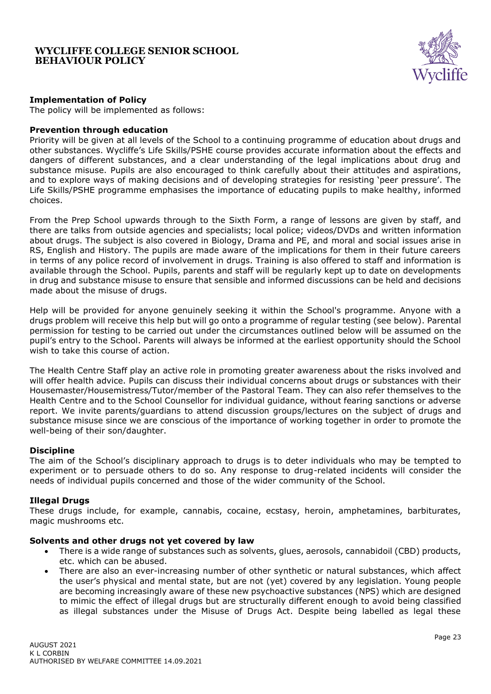

### **Implementation of Policy**

The policy will be implemented as follows:

#### **Prevention through education**

Priority will be given at all levels of the School to a continuing programme of education about drugs and other substances. Wycliffe's Life Skills/PSHE course provides accurate information about the effects and dangers of different substances, and a clear understanding of the legal implications about drug and substance misuse. Pupils are also encouraged to think carefully about their attitudes and aspirations, and to explore ways of making decisions and of developing strategies for resisting 'peer pressure'. The Life Skills/PSHE programme emphasises the importance of educating pupils to make healthy, informed choices.

From the Prep School upwards through to the Sixth Form, a range of lessons are given by staff, and there are talks from outside agencies and specialists; local police; videos/DVDs and written information about drugs. The subject is also covered in Biology, Drama and PE, and moral and social issues arise in RS, English and History. The pupils are made aware of the implications for them in their future careers in terms of any police record of involvement in drugs. Training is also offered to staff and information is available through the School. Pupils, parents and staff will be regularly kept up to date on developments in drug and substance misuse to ensure that sensible and informed discussions can be held and decisions made about the misuse of drugs.

Help will be provided for anyone genuinely seeking it within the School's programme. Anyone with a drugs problem will receive this help but will go onto a programme of regular testing (see below). Parental permission for testing to be carried out under the circumstances outlined below will be assumed on the pupil's entry to the School. Parents will always be informed at the earliest opportunity should the School wish to take this course of action.

The Health Centre Staff play an active role in promoting greater awareness about the risks involved and will offer health advice. Pupils can discuss their individual concerns about drugs or substances with their Housemaster/Housemistress/Tutor/member of the Pastoral Team. They can also refer themselves to the Health Centre and to the School Counsellor for individual guidance, without fearing sanctions or adverse report. We invite parents/guardians to attend discussion groups/lectures on the subject of drugs and substance misuse since we are conscious of the importance of working together in order to promote the well-being of their son/daughter.

#### **Discipline**

The aim of the School's disciplinary approach to drugs is to deter individuals who may be tempted to experiment or to persuade others to do so. Any response to drug-related incidents will consider the needs of individual pupils concerned and those of the wider community of the School.

#### **Illegal Drugs**

These drugs include, for example, cannabis, cocaine, ecstasy, heroin, amphetamines, barbiturates, magic mushrooms etc.

#### **Solvents and other drugs not yet covered by law**

- There is a wide range of substances such as solvents, glues, aerosols, cannabidoil (CBD) products, etc. which can be abused.
- There are also an ever-increasing number of other synthetic or natural substances, which affect the user's physical and mental state, but are not (yet) covered by any legislation. Young people are becoming increasingly aware of these new psychoactive substances (NPS) which are designed to mimic the effect of illegal drugs but are structurally different enough to avoid being classified as illegal substances under the Misuse of Drugs Act. Despite being labelled as legal these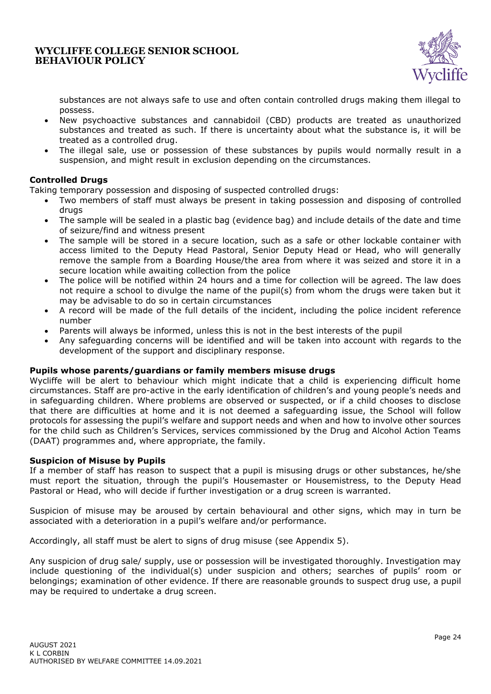

substances are not always safe to use and often contain controlled drugs making them illegal to possess.

- New psychoactive substances and cannabidoil (CBD) products are treated as unauthorized substances and treated as such. If there is uncertainty about what the substance is, it will be treated as a controlled drug.
- The illegal sale, use or possession of these substances by pupils would normally result in a suspension, and might result in exclusion depending on the circumstances.

### **Controlled Drugs**

Taking temporary possession and disposing of suspected controlled drugs:

- Two members of staff must always be present in taking possession and disposing of controlled drugs
- The sample will be sealed in a plastic bag (evidence bag) and include details of the date and time of seizure/find and witness present
- The sample will be stored in a secure location, such as a safe or other lockable container with access limited to the Deputy Head Pastoral, Senior Deputy Head or Head, who will generally remove the sample from a Boarding House/the area from where it was seized and store it in a secure location while awaiting collection from the police
- The police will be notified within 24 hours and a time for collection will be agreed. The law does not require a school to divulge the name of the pupil(s) from whom the drugs were taken but it may be advisable to do so in certain circumstances
- A record will be made of the full details of the incident, including the police incident reference number
- Parents will always be informed, unless this is not in the best interests of the pupil
- Any safeguarding concerns will be identified and will be taken into account with regards to the development of the support and disciplinary response.

#### **Pupils whose parents/guardians or family members misuse drugs**

Wycliffe will be alert to behaviour which might indicate that a child is experiencing difficult home circumstances. Staff are pro-active in the early identification of children's and young people's needs and in safeguarding children. Where problems are observed or suspected, or if a child chooses to disclose that there are difficulties at home and it is not deemed a safeguarding issue, the School will follow protocols for assessing the pupil's welfare and support needs and when and how to involve other sources for the child such as Children's Services, services commissioned by the Drug and Alcohol Action Teams (DAAT) programmes and, where appropriate, the family.

#### **Suspicion of Misuse by Pupils**

If a member of staff has reason to suspect that a pupil is misusing drugs or other substances, he/she must report the situation, through the pupil's Housemaster or Housemistress, to the Deputy Head Pastoral or Head, who will decide if further investigation or a drug screen is warranted.

Suspicion of misuse may be aroused by certain behavioural and other signs, which may in turn be associated with a deterioration in a pupil's welfare and/or performance.

Accordingly, all staff must be alert to signs of drug misuse (see Appendix 5).

Any suspicion of drug sale/ supply, use or possession will be investigated thoroughly. Investigation may include questioning of the individual(s) under suspicion and others; searches of pupils' room or belongings; examination of other evidence. If there are reasonable grounds to suspect drug use, a pupil may be required to undertake a drug screen.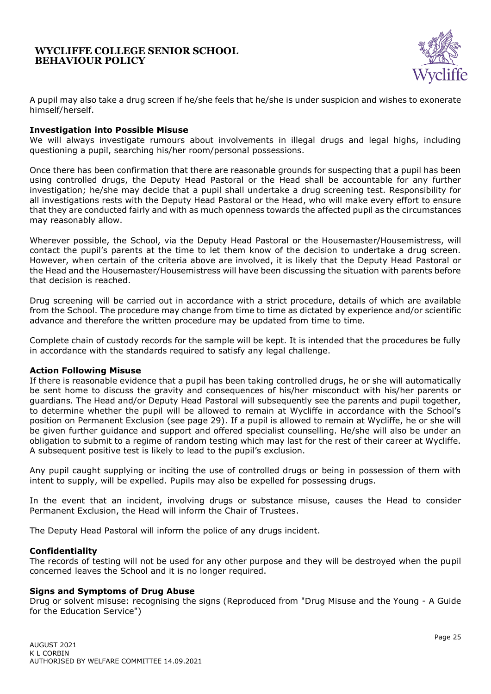

A pupil may also take a drug screen if he/she feels that he/she is under suspicion and wishes to exonerate himself/herself.

#### **Investigation into Possible Misuse**

We will always investigate rumours about involvements in illegal drugs and legal highs, including questioning a pupil, searching his/her room/personal possessions.

Once there has been confirmation that there are reasonable grounds for suspecting that a pupil has been using controlled drugs, the Deputy Head Pastoral or the Head shall be accountable for any further investigation; he/she may decide that a pupil shall undertake a drug screening test. Responsibility for all investigations rests with the Deputy Head Pastoral or the Head, who will make every effort to ensure that they are conducted fairly and with as much openness towards the affected pupil as the circumstances may reasonably allow.

Wherever possible, the School, via the Deputy Head Pastoral or the Housemaster/Housemistress, will contact the pupil's parents at the time to let them know of the decision to undertake a drug screen. However, when certain of the criteria above are involved, it is likely that the Deputy Head Pastoral or the Head and the Housemaster/Housemistress will have been discussing the situation with parents before that decision is reached.

Drug screening will be carried out in accordance with a strict procedure, details of which are available from the School. The procedure may change from time to time as dictated by experience and/or scientific advance and therefore the written procedure may be updated from time to time.

Complete chain of custody records for the sample will be kept. It is intended that the procedures be fully in accordance with the standards required to satisfy any legal challenge.

#### **Action Following Misuse**

If there is reasonable evidence that a pupil has been taking controlled drugs, he or she will automatically be sent home to discuss the gravity and consequences of his/her misconduct with his/her parents or guardians. The Head and/or Deputy Head Pastoral will subsequently see the parents and pupil together, to determine whether the pupil will be allowed to remain at Wycliffe in accordance with the School's position on Permanent Exclusion (see page 29). If a pupil is allowed to remain at Wycliffe, he or she will be given further guidance and support and offered specialist counselling. He/she will also be under an obligation to submit to a regime of random testing which may last for the rest of their career at Wycliffe. A subsequent positive test is likely to lead to the pupil's exclusion.

Any pupil caught supplying or inciting the use of controlled drugs or being in possession of them with intent to supply, will be expelled. Pupils may also be expelled for possessing drugs.

In the event that an incident, involving drugs or substance misuse, causes the Head to consider Permanent Exclusion, the Head will inform the Chair of Trustees.

The Deputy Head Pastoral will inform the police of any drugs incident.

#### **Confidentiality**

The records of testing will not be used for any other purpose and they will be destroyed when the pupil concerned leaves the School and it is no longer required.

#### **Signs and Symptoms of Drug Abuse**

Drug or solvent misuse: recognising the signs (Reproduced from "Drug Misuse and the Young - A Guide for the Education Service")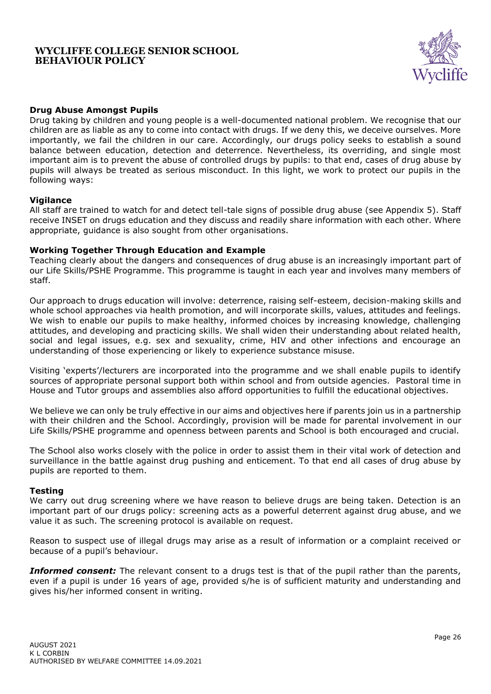

### **Drug Abuse Amongst Pupils**

Drug taking by children and young people is a well-documented national problem. We recognise that our children are as liable as any to come into contact with drugs. If we deny this, we deceive ourselves. More importantly, we fail the children in our care. Accordingly, our drugs policy seeks to establish a sound balance between education, detection and deterrence. Nevertheless, its overriding, and single most important aim is to prevent the abuse of controlled drugs by pupils: to that end, cases of drug abuse by pupils will always be treated as serious misconduct. In this light, we work to protect our pupils in the following ways:

#### **Vigilance**

All staff are trained to watch for and detect tell-tale signs of possible drug abuse (see Appendix 5). Staff receive INSET on drugs education and they discuss and readily share information with each other. Where appropriate, guidance is also sought from other organisations.

#### **Working Together Through Education and Example**

Teaching clearly about the dangers and consequences of drug abuse is an increasingly important part of our Life Skills/PSHE Programme. This programme is taught in each year and involves many members of staff.

Our approach to drugs education will involve: deterrence, raising self-esteem, decision-making skills and whole school approaches via health promotion, and will incorporate skills, values, attitudes and feelings. We wish to enable our pupils to make healthy, informed choices by increasing knowledge, challenging attitudes, and developing and practicing skills. We shall widen their understanding about related health, social and legal issues, e.g. sex and sexuality, crime, HIV and other infections and encourage an understanding of those experiencing or likely to experience substance misuse.

Visiting 'experts'/lecturers are incorporated into the programme and we shall enable pupils to identify sources of appropriate personal support both within school and from outside agencies. Pastoral time in House and Tutor groups and assemblies also afford opportunities to fulfill the educational objectives.

We believe we can only be truly effective in our aims and objectives here if parents join us in a partnership with their children and the School. Accordingly, provision will be made for parental involvement in our Life Skills/PSHE programme and openness between parents and School is both encouraged and crucial.

The School also works closely with the police in order to assist them in their vital work of detection and surveillance in the battle against drug pushing and enticement. To that end all cases of drug abuse by pupils are reported to them.

#### **Testing**

We carry out drug screening where we have reason to believe drugs are being taken. Detection is an important part of our drugs policy: screening acts as a powerful deterrent against drug abuse, and we value it as such. The screening protocol is available on request.

Reason to suspect use of illegal drugs may arise as a result of information or a complaint received or because of a pupil's behaviour.

**Informed consent:** The relevant consent to a drugs test is that of the pupil rather than the parents, even if a pupil is under 16 years of age, provided s/he is of sufficient maturity and understanding and gives his/her informed consent in writing.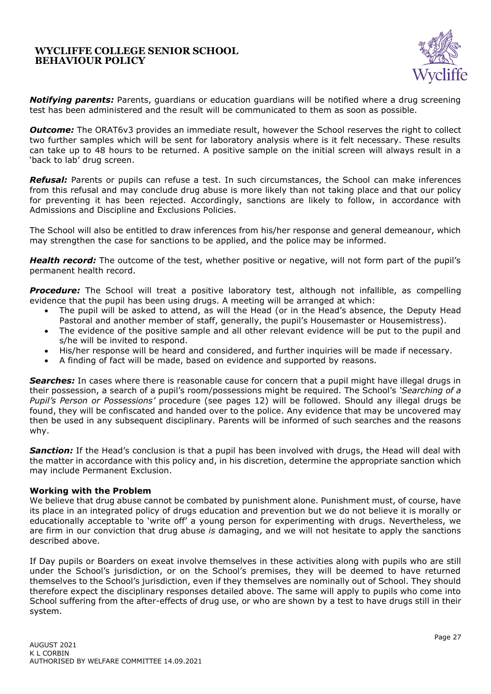

*Notifying parents:* Parents, guardians or education guardians will be notified where a drug screening test has been administered and the result will be communicated to them as soon as possible.

**Outcome:** The ORAT6v3 provides an immediate result, however the School reserves the right to collect two further samples which will be sent for laboratory analysis where is it felt necessary. These results can take up to 48 hours to be returned. A positive sample on the initial screen will always result in a 'back to lab' drug screen.

*Refusal:* Parents or pupils can refuse a test. In such circumstances, the School can make inferences from this refusal and may conclude drug abuse is more likely than not taking place and that our policy for preventing it has been rejected. Accordingly, sanctions are likely to follow, in accordance with Admissions and Discipline and Exclusions Policies.

The School will also be entitled to draw inferences from his/her response and general demeanour, which may strengthen the case for sanctions to be applied, and the police may be informed.

*Health record:* The outcome of the test, whether positive or negative, will not form part of the pupil's permanent health record.

**Procedure:** The School will treat a positive laboratory test, although not infallible, as compelling evidence that the pupil has been using drugs. A meeting will be arranged at which:

- The pupil will be asked to attend, as will the Head (or in the Head's absence, the Deputy Head Pastoral and another member of staff, generally, the pupil's Housemaster or Housemistress).
- The evidence of the positive sample and all other relevant evidence will be put to the pupil and s/he will be invited to respond.
- His/her response will be heard and considered, and further inquiries will be made if necessary.
- A finding of fact will be made, based on evidence and supported by reasons.

**Searches:** In cases where there is reasonable cause for concern that a pupil might have illegal drugs in their possession, a search of a pupil's room/possessions might be required. The School's *'Searching of a Pupil's Person or Possessions'* procedure (see pages 12) will be followed. Should any illegal drugs be found, they will be confiscated and handed over to the police. Any evidence that may be uncovered may then be used in any subsequent disciplinary. Parents will be informed of such searches and the reasons why.

**Sanction:** If the Head's conclusion is that a pupil has been involved with drugs, the Head will deal with the matter in accordance with this policy and, in his discretion, determine the appropriate sanction which may include Permanent Exclusion.

#### **Working with the Problem**

We believe that drug abuse cannot be combated by punishment alone. Punishment must, of course, have its place in an integrated policy of drugs education and prevention but we do not believe it is morally or educationally acceptable to 'write off' a young person for experimenting with drugs. Nevertheless, we are firm in our conviction that drug abuse *is* damaging, and we will not hesitate to apply the sanctions described above.

If Day pupils or Boarders on exeat involve themselves in these activities along with pupils who are still under the School's jurisdiction, or on the School's premises, they will be deemed to have returned themselves to the School's jurisdiction, even if they themselves are nominally out of School. They should therefore expect the disciplinary responses detailed above. The same will apply to pupils who come into School suffering from the after-effects of drug use, or who are shown by a test to have drugs still in their system.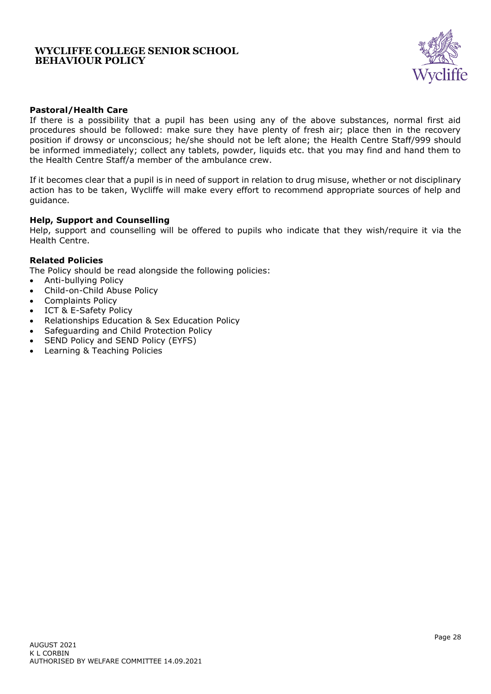

### **Pastoral/Health Care**

If there is a possibility that a pupil has been using any of the above substances, normal first aid procedures should be followed: make sure they have plenty of fresh air; place then in the recovery position if drowsy or unconscious; he/she should not be left alone; the Health Centre Staff/999 should be informed immediately; collect any tablets, powder, liquids etc. that you may find and hand them to the Health Centre Staff/a member of the ambulance crew.

If it becomes clear that a pupil is in need of support in relation to drug misuse, whether or not disciplinary action has to be taken, Wycliffe will make every effort to recommend appropriate sources of help and guidance.

#### **Help, Support and Counselling**

Help, support and counselling will be offered to pupils who indicate that they wish/require it via the Health Centre.

#### **Related Policies**

The Policy should be read alongside the following policies:

- Anti-bullying Policy
- Child-on-Child Abuse Policy
- Complaints Policy
- ICT & E-Safety Policy
- Relationships Education & Sex Education Policy
- Safeguarding and Child Protection Policy
- SEND Policy and SEND Policy (EYFS)
- Learning & Teaching Policies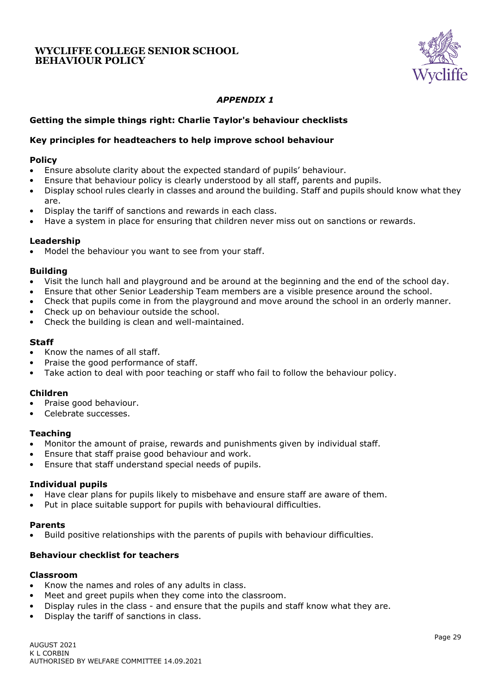

# *APPENDIX 1*

### <span id="page-28-0"></span>**Getting the simple things right: Charlie Taylor's behaviour checklists**

### <span id="page-28-1"></span>**Key principles for headteachers to help improve school behaviour**

#### **Policy**

- Ensure absolute clarity about the expected standard of pupils' behaviour.
- Ensure that behaviour policy is clearly understood by all staff, parents and pupils.
- Display school rules clearly in classes and around the building. Staff and pupils should know what they are.
- Display the tariff of sanctions and rewards in each class.
- Have a system in place for ensuring that children never miss out on sanctions or rewards.

#### **Leadership**

Model the behaviour you want to see from your staff.

### **Building**

- Visit the lunch hall and playground and be around at the beginning and the end of the school day.
- Ensure that other Senior Leadership Team members are a visible presence around the school.
- Check that pupils come in from the playground and move around the school in an orderly manner.
- Check up on behaviour outside the school.
- Check the building is clean and well-maintained.

### **Staff**

- Know the names of all staff.
- Praise the good performance of staff.
- Take action to deal with poor teaching or staff who fail to follow the behaviour policy.

#### **Children**

- Praise good behaviour.
- Celebrate successes.

#### **Teaching**

- Monitor the amount of praise, rewards and punishments given by individual staff.
- Ensure that staff praise good behaviour and work.
- Ensure that staff understand special needs of pupils.

#### **Individual pupils**

- Have clear plans for pupils likely to misbehave and ensure staff are aware of them.
- Put in place suitable support for pupils with behavioural difficulties.

#### **Parents**

• Build positive relationships with the parents of pupils with behaviour difficulties.

### <span id="page-28-2"></span>**Behaviour checklist for teachers**

#### **Classroom**

- Know the names and roles of any adults in class.
- Meet and greet pupils when they come into the classroom.
- Display rules in the class and ensure that the pupils and staff know what they are.
- Display the tariff of sanctions in class.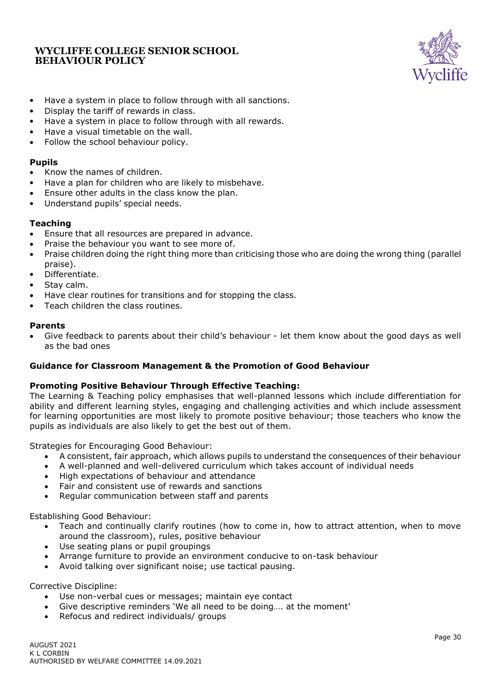

- Have a system in place to follow through with all sanctions.
- Display the tariff of rewards in class.
- Have a system in place to follow through with all rewards.
- Have a visual timetable on the wall.
- Follow the school behaviour policy.

#### **Pupils**

- Know the names of children.
- Have a plan for children who are likely to misbehave.
- Ensure other adults in the class know the plan.
- Understand pupils' special needs.

### **Teaching**

- Ensure that all resources are prepared in advance.
- Praise the behaviour you want to see more of.
- Praise children doing the right thing more than criticising those who are doing the wrong thing (parallel praise).
- Differentiate.
- Stav calm.
- Have clear routines for transitions and for stopping the class.
- Teach children the class routines.

#### **Parents**

• Give feedback to parents about their child's behaviour - let them know about the good days as well as the bad ones

#### <span id="page-29-0"></span>**Guidance for Classroom Management & the Promotion of Good Behaviour**

#### **Promoting Positive Behaviour Through Effective Teaching:**

The Learning & Teaching policy emphasises that well-planned lessons which include differentiation for ability and different learning styles, engaging and challenging activities and which include assessment for learning opportunities are most likely to promote positive behaviour; those teachers who know the pupils as individuals are also likely to get the best out of them.

Strategies for Encouraging Good Behaviour:

- A consistent, fair approach, which allows pupils to understand the consequences of their behaviour
- A well-planned and well-delivered curriculum which takes account of individual needs
- High expectations of behaviour and attendance
- Fair and consistent use of rewards and sanctions
- Regular communication between staff and parents

Establishing Good Behaviour:

- Teach and continually clarify routines (how to come in, how to attract attention, when to move around the classroom), rules, positive behaviour
- Use seating plans or pupil groupings
- Arrange furniture to provide an environment conducive to on-task behaviour
- Avoid talking over significant noise; use tactical pausing.

Corrective Discipline:

- Use non-verbal cues or messages; maintain eye contact
- Give descriptive reminders 'We all need to be doing…. at the moment'
- Refocus and redirect individuals/ groups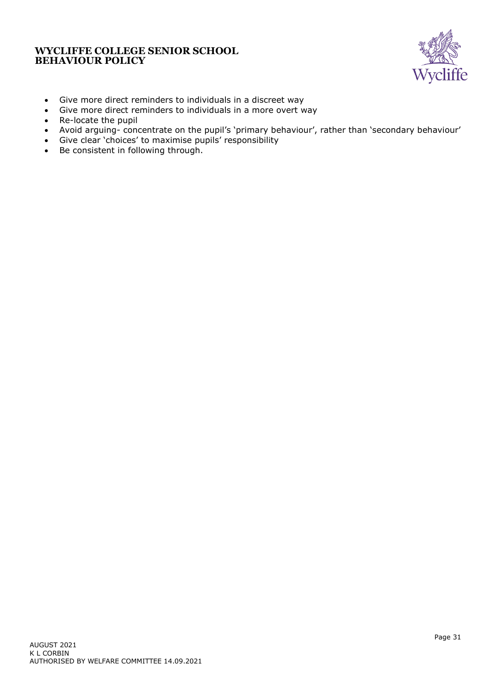

- Give more direct reminders to individuals in a discreet way
- Give more direct reminders to individuals in a more overt way
- Re-locate the pupil
- Avoid arguing- concentrate on the pupil's 'primary behaviour', rather than 'secondary behaviour'
- Give clear 'choices' to maximise pupils' responsibility
- Be consistent in following through.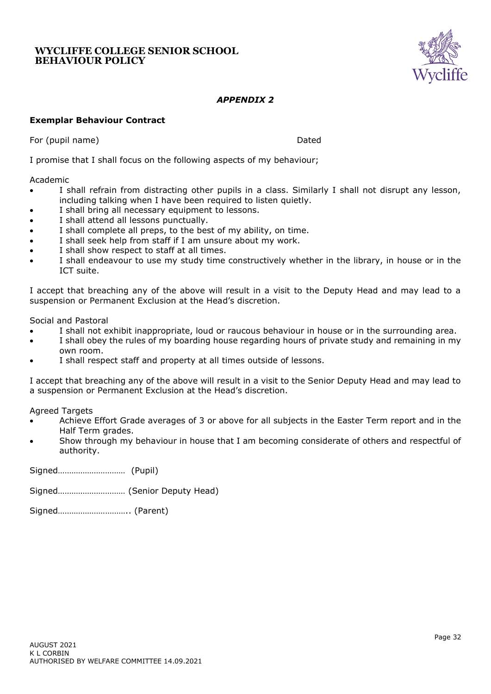

# *APPENDIX 2*

### <span id="page-31-1"></span><span id="page-31-0"></span>**Exemplar Behaviour Contract**

For (pupil name) and the contract of the contract of the contract of the contract of the Dated

I promise that I shall focus on the following aspects of my behaviour;

#### Academic

- I shall refrain from distracting other pupils in a class. Similarly I shall not disrupt any lesson, including talking when I have been required to listen quietly.
- I shall bring all necessary equipment to lessons.
- I shall attend all lessons punctually.
- I shall complete all preps, to the best of my ability, on time.
- I shall seek help from staff if I am unsure about my work.
- I shall show respect to staff at all times.
- I shall endeavour to use my study time constructively whether in the library, in house or in the ICT suite.

I accept that breaching any of the above will result in a visit to the Deputy Head and may lead to a suspension or Permanent Exclusion at the Head's discretion.

Social and Pastoral

- I shall not exhibit inappropriate, loud or raucous behaviour in house or in the surrounding area.
- I shall obey the rules of my boarding house regarding hours of private study and remaining in my own room.
- I shall respect staff and property at all times outside of lessons.

I accept that breaching any of the above will result in a visit to the Senior Deputy Head and may lead to a suspension or Permanent Exclusion at the Head's discretion.

Agreed Targets

- Achieve Effort Grade averages of 3 or above for all subjects in the Easter Term report and in the Half Term grades.
- Show through my behaviour in house that I am becoming considerate of others and respectful of authority.

Signed………………………… (Pupil)

Signed………………………… (Senior Deputy Head)

Signed………………………….. (Parent)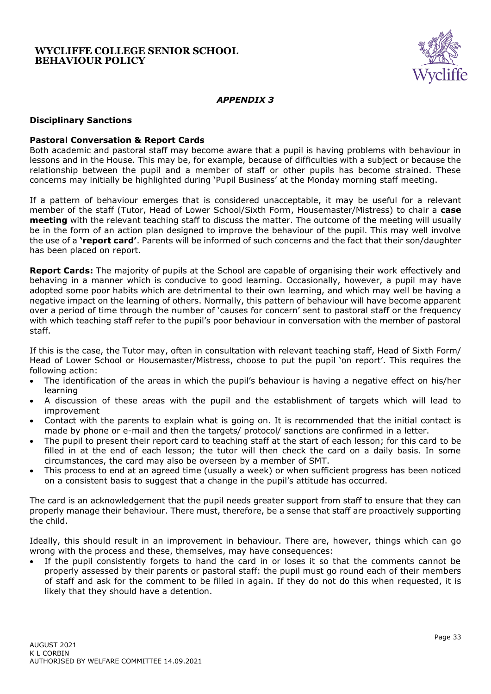

### *APPENDIX 3*

#### <span id="page-32-1"></span><span id="page-32-0"></span>**Disciplinary Sanctions**

#### **Pastoral Conversation & Report Cards**

Both academic and pastoral staff may become aware that a pupil is having problems with behaviour in lessons and in the House. This may be, for example, because of difficulties with a subject or because the relationship between the pupil and a member of staff or other pupils has become strained. These concerns may initially be highlighted during 'Pupil Business' at the Monday morning staff meeting.

If a pattern of behaviour emerges that is considered unacceptable, it may be useful for a relevant member of the staff (Tutor, Head of Lower School/Sixth Form, Housemaster/Mistress) to chair a **case meeting** with the relevant teaching staff to discuss the matter. The outcome of the meeting will usually be in the form of an action plan designed to improve the behaviour of the pupil. This may well involve the use of a **'report card'**. Parents will be informed of such concerns and the fact that their son/daughter has been placed on report.

**Report Cards:** The majority of pupils at the School are capable of organising their work effectively and behaving in a manner which is conducive to good learning. Occasionally, however, a pupil may have adopted some poor habits which are detrimental to their own learning, and which may well be having a negative impact on the learning of others. Normally, this pattern of behaviour will have become apparent over a period of time through the number of 'causes for concern' sent to pastoral staff or the frequency with which teaching staff refer to the pupil's poor behaviour in conversation with the member of pastoral staff.

If this is the case, the Tutor may, often in consultation with relevant teaching staff, Head of Sixth Form/ Head of Lower School or Housemaster/Mistress, choose to put the pupil 'on report'. This requires the following action:

- The identification of the areas in which the pupil's behaviour is having a negative effect on his/her learning
- A discussion of these areas with the pupil and the establishment of targets which will lead to improvement
- Contact with the parents to explain what is going on. It is recommended that the initial contact is made by phone or e-mail and then the targets/ protocol/ sanctions are confirmed in a letter.
- The pupil to present their report card to teaching staff at the start of each lesson; for this card to be filled in at the end of each lesson; the tutor will then check the card on a daily basis. In some circumstances, the card may also be overseen by a member of SMT.
- This process to end at an agreed time (usually a week) or when sufficient progress has been noticed on a consistent basis to suggest that a change in the pupil's attitude has occurred.

The card is an acknowledgement that the pupil needs greater support from staff to ensure that they can properly manage their behaviour. There must, therefore, be a sense that staff are proactively supporting the child.

Ideally, this should result in an improvement in behaviour. There are, however, things which can go wrong with the process and these, themselves, may have consequences:

If the pupil consistently forgets to hand the card in or loses it so that the comments cannot be properly assessed by their parents or pastoral staff: the pupil must go round each of their members of staff and ask for the comment to be filled in again. If they do not do this when requested, it is likely that they should have a detention.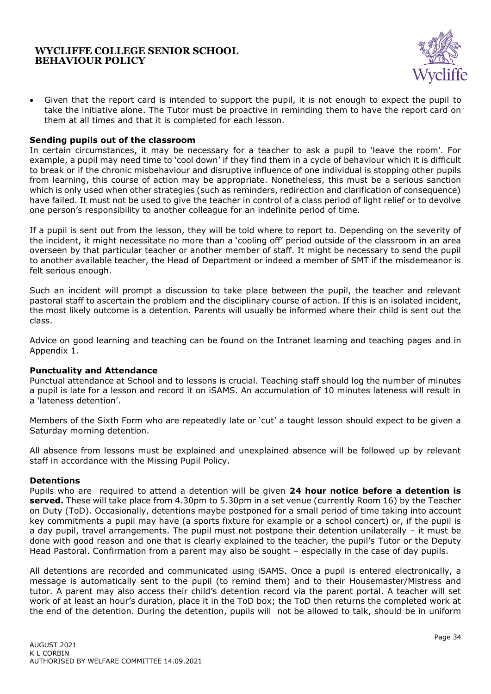

• Given that the report card is intended to support the pupil, it is not enough to expect the pupil to take the initiative alone. The Tutor must be proactive in reminding them to have the report card on them at all times and that it is completed for each lesson.

#### <span id="page-33-0"></span>**Sending pupils out of the classroom**

In certain circumstances, it may be necessary for a teacher to ask a pupil to 'leave the room'. For example, a pupil may need time to 'cool down' if they find them in a cycle of behaviour which it is difficult to break or if the chronic misbehaviour and disruptive influence of one individual is stopping other pupils from learning, this course of action may be appropriate. Nonetheless, this must be a serious sanction which is only used when other strategies (such as reminders, redirection and clarification of consequence) have failed. It must not be used to give the teacher in control of a class period of light relief or to devolve one person's responsibility to another colleague for an indefinite period of time.

If a pupil is sent out from the lesson, they will be told where to report to. Depending on the severity of the incident, it might necessitate no more than a 'cooling off' period outside of the classroom in an area overseen by that particular teacher or another member of staff. It might be necessary to send the pupil to another available teacher, the Head of Department or indeed a member of SMT if the misdemeanor is felt serious enough.

Such an incident will prompt a discussion to take place between the pupil, the teacher and relevant pastoral staff to ascertain the problem and the disciplinary course of action. If this is an isolated incident, the most likely outcome is a detention. Parents will usually be informed where their child is sent out the class.

Advice on good learning and teaching can be found on the Intranet learning and teaching pages and in Appendix 1.

#### <span id="page-33-1"></span>**Punctuality and Attendance**

Punctual attendance at School and to lessons is crucial. Teaching staff should log the number of minutes a pupil is late for a lesson and record it on iSAMS. An accumulation of 10 minutes lateness will result in a 'lateness detention'.

Members of the Sixth Form who are repeatedly late or 'cut' a taught lesson should expect to be given a Saturday morning detention.

All absence from lessons must be explained and unexplained absence will be followed up by relevant staff in accordance with the Missing Pupil Policy.

#### <span id="page-33-2"></span>**Detentions**

Pupils who are required to attend a detention will be given **24 hour notice before a detention is served.** These will take place from 4.30pm to 5.30pm in a set venue (currently Room 16) by the Teacher on Duty (ToD). Occasionally, detentions maybe postponed for a small period of time taking into account key commitments a pupil may have (a sports fixture for example or a school concert) or, if the pupil is a day pupil, travel arrangements. The pupil must not postpone their detention unilaterally – it must be done with good reason and one that is clearly explained to the teacher, the pupil's Tutor or the Deputy Head Pastoral. Confirmation from a parent may also be sought – especially in the case of day pupils.

All detentions are recorded and communicated using iSAMS. Once a pupil is entered electronically, a message is automatically sent to the pupil (to remind them) and to their Housemaster/Mistress and tutor. A parent may also access their child's detention record via the parent portal. A teacher will set work of at least an hour's duration, place it in the ToD box; the ToD then returns the completed work at the end of the detention. During the detention, pupils will not be allowed to talk, should be in uniform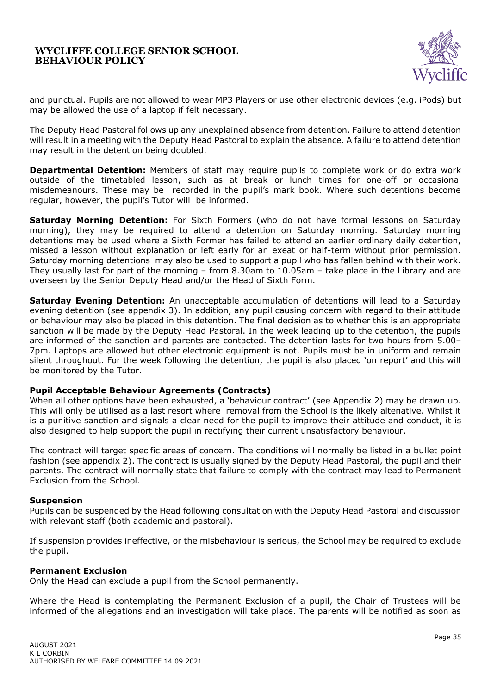

and punctual. Pupils are not allowed to wear MP3 Players or use other electronic devices (e.g. iPods) but may be allowed the use of a laptop if felt necessary.

The Deputy Head Pastoral follows up any unexplained absence from detention. Failure to attend detention will result in a meeting with the Deputy Head Pastoral to explain the absence. A failure to attend detention may result in the detention being doubled.

**Departmental Detention:** Members of staff may require pupils to complete work or do extra work outside of the timetabled lesson, such as at break or lunch times for one-off or occasional misdemeanours. These may be recorded in the pupil's mark book. Where such detentions become regular, however, the pupil's Tutor will be informed.

**Saturday Morning Detention:** For Sixth Formers (who do not have formal lessons on Saturday morning), they may be required to attend a detention on Saturday morning. Saturday morning detentions may be used where a Sixth Former has failed to attend an earlier ordinary daily detention, missed a lesson without explanation or left early for an exeat or half-term without prior permission. Saturday morning detentions may also be used to support a pupil who has fallen behind with their work. They usually last for part of the morning – from 8.30am to 10.05am – take place in the Library and are overseen by the Senior Deputy Head and/or the Head of Sixth Form.

**Saturday Evening Detention:** An unacceptable accumulation of detentions will lead to a Saturday evening detention (see appendix 3). In addition, any pupil causing concern with regard to their attitude or behaviour may also be placed in this detention. The final decision as to whether this is an appropriate sanction will be made by the Deputy Head Pastoral. In the week leading up to the detention, the pupils are informed of the sanction and parents are contacted. The detention lasts for two hours from 5.00– 7pm. Laptops are allowed but other electronic equipment is not. Pupils must be in uniform and remain silent throughout. For the week following the detention, the pupil is also placed 'on report' and this will be monitored by the Tutor.

#### <span id="page-34-0"></span>**Pupil Acceptable Behaviour Agreements (Contracts)**

When all other options have been exhausted, a 'behaviour contract' (see Appendix 2) may be drawn up. This will only be utilised as a last resort where removal from the School is the likely altenative. Whilst it is a punitive sanction and signals a clear need for the pupil to improve their attitude and conduct, it is also designed to help support the pupil in rectifying their current unsatisfactory behaviour.

The contract will target specific areas of concern. The conditions will normally be listed in a bullet point fashion (see appendix 2). The contract is usually signed by the Deputy Head Pastoral, the pupil and their parents. The contract will normally state that failure to comply with the contract may lead to Permanent Exclusion from the School.

#### <span id="page-34-1"></span>**Suspension**

Pupils can be suspended by the Head following consultation with the Deputy Head Pastoral and discussion with relevant staff (both academic and pastoral).

If suspension provides ineffective, or the misbehaviour is serious, the School may be required to exclude the pupil.

#### <span id="page-34-2"></span>**Permanent Exclusion**

Only the Head can exclude a pupil from the School permanently.

Where the Head is contemplating the Permanent Exclusion of a pupil, the Chair of Trustees will be informed of the allegations and an investigation will take place. The parents will be notified as soon as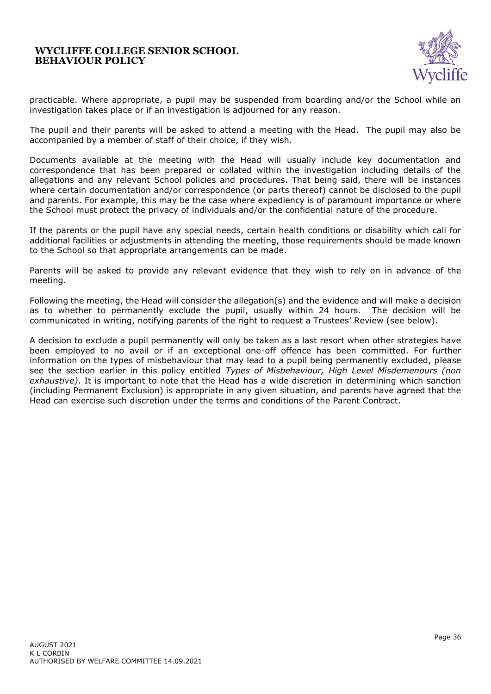

practicable. Where appropriate, a pupil may be suspended from boarding and/or the School while an investigation takes place or if an investigation is adjourned for any reason.

The pupil and their parents will be asked to attend a meeting with the Head. The pupil may also be accompanied by a member of staff of their choice, if they wish.

Documents available at the meeting with the Head will usually include key documentation and correspondence that has been prepared or collated within the investigation including details of the allegations and any relevant School policies and procedures. That being said, there will be instances where certain documentation and/or correspondence (or parts thereof) cannot be disclosed to the pupil and parents. For example, this may be the case where expediency is of paramount importance or where the School must protect the privacy of individuals and/or the confidential nature of the procedure.

If the parents or the pupil have any special needs, certain health conditions or disability which call for additional facilities or adjustments in attending the meeting, those requirements should be made known to the School so that appropriate arrangements can be made.

Parents will be asked to provide any relevant evidence that they wish to rely on in advance of the meeting.

Following the meeting, the Head will consider the allegation(s) and the evidence and will make a decision as to whether to permanently exclude the pupil, usually within 24 hours. The decision will be communicated in writing, notifying parents of the right to request a Trustees' Review (see below).

A decision to exclude a pupil permanently will only be taken as a last resort when other strategies have been employed to no avail or if an exceptional one-off offence has been committed. For further information on the types of misbehaviour that may lead to a pupil being permanently excluded, please see the section earlier in this policy entitled *Types of Misbehaviour, High Level Misdemenours (non exhaustive)*. It is important to note that the Head has a wide discretion in determining which sanction (including Permanent Exclusion) is appropriate in any given situation, and parents have agreed that the Head can exercise such discretion under the terms and conditions of the Parent Contract.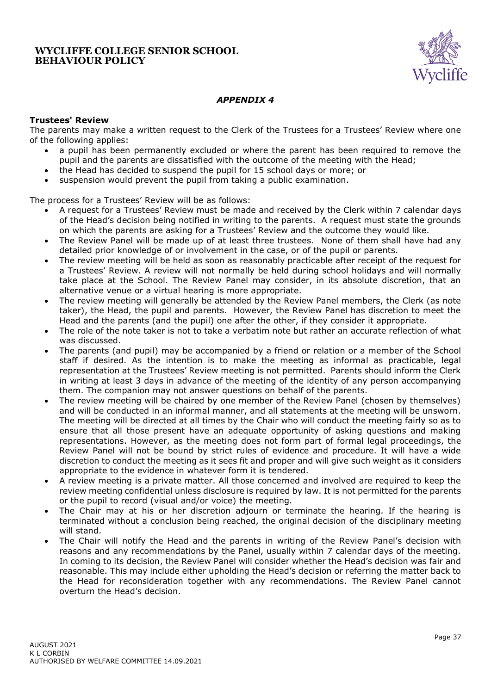

# *APPENDIX 4*

### <span id="page-36-1"></span><span id="page-36-0"></span>**Trustees' Review**

The parents may make a written request to the Clerk of the Trustees for a Trustees' Review where one of the following applies:

- a pupil has been permanently excluded or where the parent has been required to remove the pupil and the parents are dissatisfied with the outcome of the meeting with the Head;
- the Head has decided to suspend the pupil for 15 school days or more; or
- suspension would prevent the pupil from taking a public examination.

The process for a Trustees' Review will be as follows:

- A request for a Trustees' Review must be made and received by the Clerk within 7 calendar days of the Head's decision being notified in writing to the parents. A request must state the grounds on which the parents are asking for a Trustees' Review and the outcome they would like.
- The Review Panel will be made up of at least three trustees. None of them shall have had any detailed prior knowledge of or involvement in the case, or of the pupil or parents.
- The review meeting will be held as soon as reasonably practicable after receipt of the request for a Trustees' Review. A review will not normally be held during school holidays and will normally take place at the School. The Review Panel may consider, in its absolute discretion, that an alternative venue or a virtual hearing is more appropriate.
- The review meeting will generally be attended by the Review Panel members, the Clerk (as note taker), the Head, the pupil and parents. However, the Review Panel has discretion to meet the Head and the parents (and the pupil) one after the other, if they consider it appropriate.
- The role of the note taker is not to take a verbatim note but rather an accurate reflection of what was discussed.
- The parents (and pupil) may be accompanied by a friend or relation or a member of the School staff if desired. As the intention is to make the meeting as informal as practicable, legal representation at the Trustees' Review meeting is not permitted. Parents should inform the Clerk in writing at least 3 days in advance of the meeting of the identity of any person accompanying them. The companion may not answer questions on behalf of the parents.
- The review meeting will be chaired by one member of the Review Panel (chosen by themselves) and will be conducted in an informal manner, and all statements at the meeting will be unsworn. The meeting will be directed at all times by the Chair who will conduct the meeting fairly so as to ensure that all those present have an adequate opportunity of asking questions and making representations. However, as the meeting does not form part of formal legal proceedings, the Review Panel will not be bound by strict rules of evidence and procedure. It will have a wide discretion to conduct the meeting as it sees fit and proper and will give such weight as it considers appropriate to the evidence in whatever form it is tendered.
- A review meeting is a private matter. All those concerned and involved are required to keep the review meeting confidential unless disclosure is required by law. It is not permitted for the parents or the pupil to record (visual and/or voice) the meeting.
- The Chair may at his or her discretion adjourn or terminate the hearing. If the hearing is terminated without a conclusion being reached, the original decision of the disciplinary meeting will stand.
- The Chair will notify the Head and the parents in writing of the Review Panel's decision with reasons and any recommendations by the Panel, usually within 7 calendar days of the meeting. In coming to its decision, the Review Panel will consider whether the Head's decision was fair and reasonable. This may include either upholding the Head's decision or referring the matter back to the Head for reconsideration together with any recommendations. The Review Panel cannot overturn the Head's decision.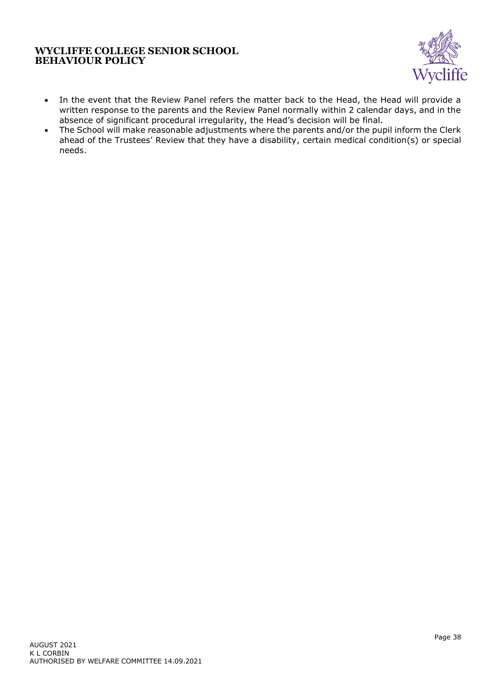

- In the event that the Review Panel refers the matter back to the Head, the Head will provide a written response to the parents and the Review Panel normally within 2 calendar days, and in the absence of significant procedural irregularity, the Head's decision will be final.
- The School will make reasonable adjustments where the parents and/or the pupil inform the Clerk ahead of the Trustees' Review that they have a disability, certain medical condition(s) or special needs.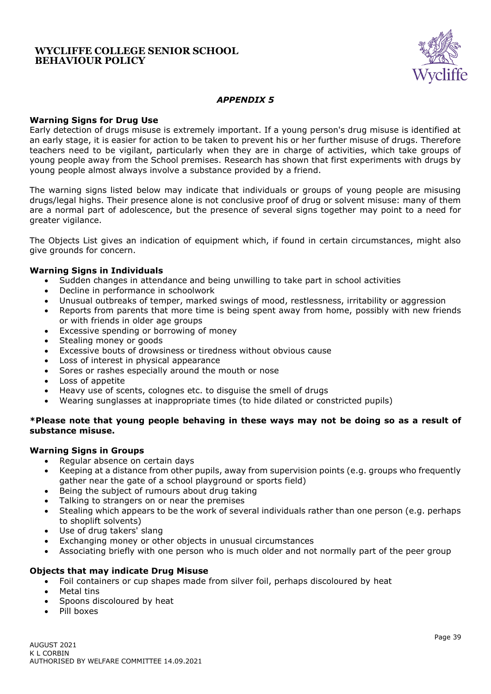

### *APPENDIX 5*

#### <span id="page-38-1"></span><span id="page-38-0"></span>**Warning Signs for Drug Use**

Early detection of drugs misuse is extremely important. If a young person's drug misuse is identified at an early stage, it is easier for action to be taken to prevent his or her further misuse of drugs. Therefore teachers need to be vigilant, particularly when they are in charge of activities, which take groups of young people away from the School premises. Research has shown that first experiments with drugs by young people almost always involve a substance provided by a friend.

The warning signs listed below may indicate that individuals or groups of young people are misusing drugs/legal highs. Their presence alone is not conclusive proof of drug or solvent misuse: many of them are a normal part of adolescence, but the presence of several signs together may point to a need for greater vigilance.

The Objects List gives an indication of equipment which, if found in certain circumstances, might also give grounds for concern.

### <span id="page-38-2"></span>**Warning Signs in Individuals**

- Sudden changes in attendance and being unwilling to take part in school activities
- Decline in performance in schoolwork
- Unusual outbreaks of temper, marked swings of mood, restlessness, irritability or aggression
- Reports from parents that more time is being spent away from home, possibly with new friends or with friends in older age groups
- Excessive spending or borrowing of money
- Stealing money or goods
- Excessive bouts of drowsiness or tiredness without obvious cause
- Loss of interest in physical appearance
- Sores or rashes especially around the mouth or nose
- Loss of appetite
- Heavy use of scents, colognes etc. to disguise the smell of drugs
- Wearing sunglasses at inappropriate times (to hide dilated or constricted pupils)

### **\*Please note that young people behaving in these ways may not be doing so as a result of substance misuse.**

#### <span id="page-38-3"></span>**Warning Signs in Groups**

- Regular absence on certain days
- Keeping at a distance from other pupils, away from supervision points (e.g. groups who frequently gather near the gate of a school playground or sports field)
- Being the subject of rumours about drug taking
- Talking to strangers on or near the premises
- Stealing which appears to be the work of several individuals rather than one person (e.g. perhaps to shoplift solvents)
- Use of drug takers' slang
- Exchanging money or other objects in unusual circumstances
- Associating briefly with one person who is much older and not normally part of the peer group

### <span id="page-38-4"></span>**Objects that may indicate Drug Misuse**

- Foil containers or cup shapes made from silver foil, perhaps discoloured by heat
- Metal tins
- Spoons discoloured by heat
- Pill boxes